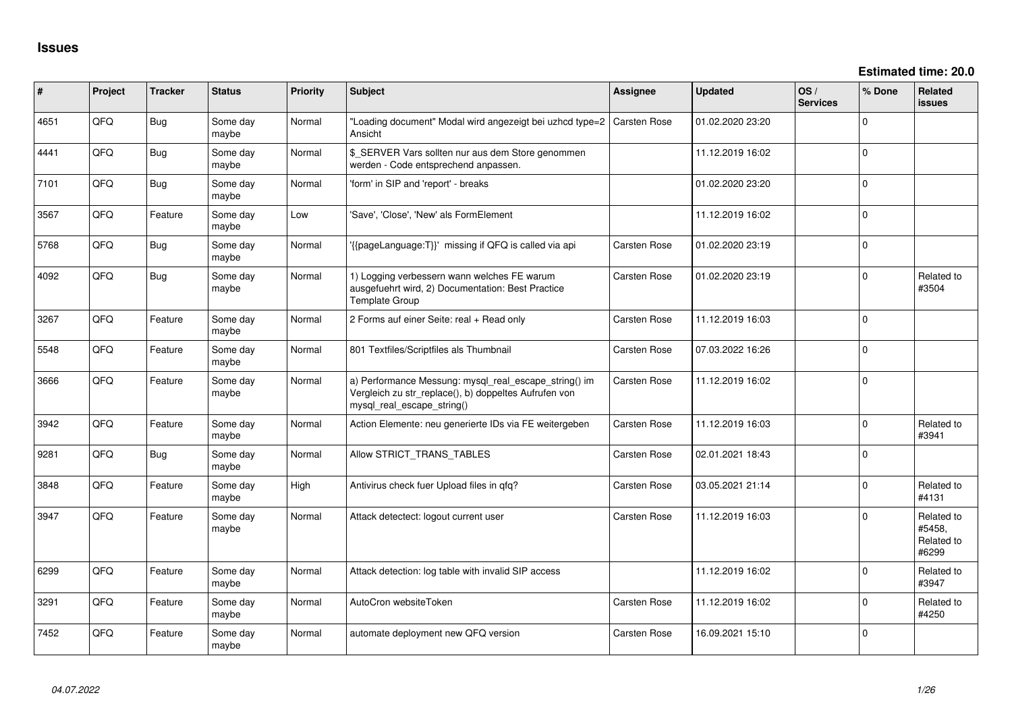| ∦    | Project | <b>Tracker</b> | <b>Status</b>     | Priority | Subject                                                                                                                                      | <b>Assignee</b>     | <b>Updated</b>   | OS/<br><b>Services</b> | % Done      | <b>Related</b><br>issues                    |
|------|---------|----------------|-------------------|----------|----------------------------------------------------------------------------------------------------------------------------------------------|---------------------|------------------|------------------------|-------------|---------------------------------------------|
| 4651 | QFQ     | Bug            | Some day<br>maybe | Normal   | "Loading document" Modal wird angezeigt bei uzhcd type=2<br>Ansicht                                                                          | <b>Carsten Rose</b> | 01.02.2020 23:20 |                        | $\Omega$    |                                             |
| 4441 | QFQ     | Bug            | Some day<br>maybe | Normal   | \$ SERVER Vars sollten nur aus dem Store genommen<br>werden - Code entsprechend anpassen.                                                    |                     | 11.12.2019 16:02 |                        | $\Omega$    |                                             |
| 7101 | QFQ     | Bug            | Some day<br>maybe | Normal   | 'form' in SIP and 'report' - breaks                                                                                                          |                     | 01.02.2020 23:20 |                        | $\Omega$    |                                             |
| 3567 | QFQ     | Feature        | Some day<br>maybe | Low      | 'Save', 'Close', 'New' als FormElement                                                                                                       |                     | 11.12.2019 16:02 |                        | $\Omega$    |                                             |
| 5768 | QFQ     | Bug            | Some day<br>maybe | Normal   | '{{pageLanguage:T}}' missing if QFQ is called via api                                                                                        | Carsten Rose        | 01.02.2020 23:19 |                        | $\mathbf 0$ |                                             |
| 4092 | QFQ     | Bug            | Some day<br>maybe | Normal   | 1) Logging verbessern wann welches FE warum<br>ausgefuehrt wird, 2) Documentation: Best Practice<br><b>Template Group</b>                    | <b>Carsten Rose</b> | 01.02.2020 23:19 |                        | $\mathbf 0$ | Related to<br>#3504                         |
| 3267 | QFQ     | Feature        | Some day<br>maybe | Normal   | 2 Forms auf einer Seite: real + Read only                                                                                                    | Carsten Rose        | 11.12.2019 16:03 |                        | $\Omega$    |                                             |
| 5548 | QFQ     | Feature        | Some day<br>maybe | Normal   | 801 Textfiles/Scriptfiles als Thumbnail                                                                                                      | Carsten Rose        | 07.03.2022 16:26 |                        | $\Omega$    |                                             |
| 3666 | QFQ     | Feature        | Some day<br>maybe | Normal   | a) Performance Messung: mysql_real_escape_string() im<br>Vergleich zu str_replace(), b) doppeltes Aufrufen von<br>mysql_real_escape_string() | Carsten Rose        | 11.12.2019 16:02 |                        | $\Omega$    |                                             |
| 3942 | QFQ     | Feature        | Some day<br>maybe | Normal   | Action Elemente: neu generierte IDs via FE weitergeben                                                                                       | Carsten Rose        | 11.12.2019 16:03 |                        | $\Omega$    | Related to<br>#3941                         |
| 9281 | QFQ     | Bug            | Some day<br>maybe | Normal   | Allow STRICT_TRANS_TABLES                                                                                                                    | Carsten Rose        | 02.01.2021 18:43 |                        | $\Omega$    |                                             |
| 3848 | QFQ     | Feature        | Some day<br>maybe | High     | Antivirus check fuer Upload files in qfq?                                                                                                    | Carsten Rose        | 03.05.2021 21:14 |                        | $\Omega$    | Related to<br>#4131                         |
| 3947 | QFQ     | Feature        | Some day<br>maybe | Normal   | Attack detectect: logout current user                                                                                                        | Carsten Rose        | 11.12.2019 16:03 |                        | $\Omega$    | Related to<br>#5458,<br>Related to<br>#6299 |
| 6299 | QFQ     | Feature        | Some day<br>maybe | Normal   | Attack detection: log table with invalid SIP access                                                                                          |                     | 11.12.2019 16:02 |                        | $\Omega$    | Related to<br>#3947                         |
| 3291 | QFQ     | Feature        | Some day<br>maybe | Normal   | AutoCron websiteToken                                                                                                                        | Carsten Rose        | 11.12.2019 16:02 |                        | $\Omega$    | Related to<br>#4250                         |
| 7452 | QFQ     | Feature        | Some day<br>maybe | Normal   | automate deployment new QFQ version                                                                                                          | Carsten Rose        | 16.09.2021 15:10 |                        | $\Omega$    |                                             |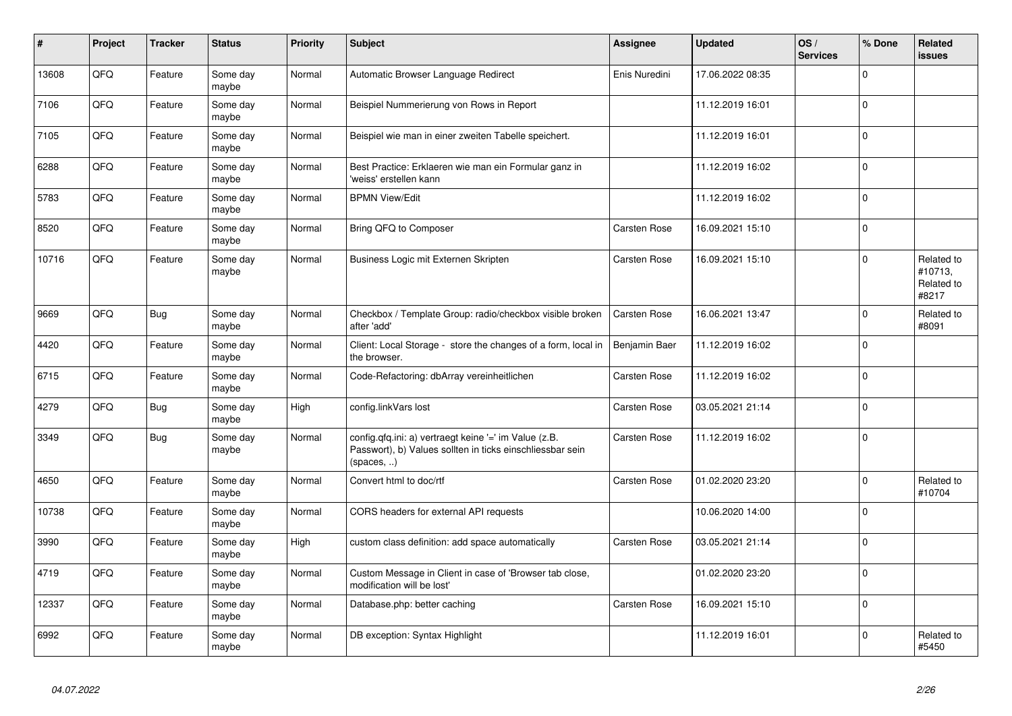| $\vert$ # | <b>Project</b> | <b>Tracker</b> | <b>Status</b>     | <b>Priority</b> | <b>Subject</b>                                                                                                                   | Assignee            | <b>Updated</b>   | OS/<br><b>Services</b> | % Done      | Related<br><b>issues</b>                     |
|-----------|----------------|----------------|-------------------|-----------------|----------------------------------------------------------------------------------------------------------------------------------|---------------------|------------------|------------------------|-------------|----------------------------------------------|
| 13608     | QFQ            | Feature        | Some day<br>maybe | Normal          | Automatic Browser Language Redirect                                                                                              | Enis Nuredini       | 17.06.2022 08:35 |                        | $\Omega$    |                                              |
| 7106      | QFQ            | Feature        | Some day<br>maybe | Normal          | Beispiel Nummerierung von Rows in Report                                                                                         |                     | 11.12.2019 16:01 |                        | $\Omega$    |                                              |
| 7105      | QFQ            | Feature        | Some day<br>maybe | Normal          | Beispiel wie man in einer zweiten Tabelle speichert.                                                                             |                     | 11.12.2019 16:01 |                        | $\Omega$    |                                              |
| 6288      | QFQ            | Feature        | Some day<br>maybe | Normal          | Best Practice: Erklaeren wie man ein Formular ganz in<br>'weiss' erstellen kann                                                  |                     | 11.12.2019 16:02 |                        | $\mathbf 0$ |                                              |
| 5783      | QFQ            | Feature        | Some day<br>maybe | Normal          | <b>BPMN View/Edit</b>                                                                                                            |                     | 11.12.2019 16:02 |                        | $\mathbf 0$ |                                              |
| 8520      | QFQ            | Feature        | Some day<br>maybe | Normal          | Bring QFQ to Composer                                                                                                            | Carsten Rose        | 16.09.2021 15:10 |                        | $\Omega$    |                                              |
| 10716     | QFQ            | Feature        | Some day<br>maybe | Normal          | Business Logic mit Externen Skripten                                                                                             | Carsten Rose        | 16.09.2021 15:10 |                        | $\Omega$    | Related to<br>#10713,<br>Related to<br>#8217 |
| 9669      | QFQ            | Bug            | Some day<br>maybe | Normal          | Checkbox / Template Group: radio/checkbox visible broken<br>after 'add'                                                          | Carsten Rose        | 16.06.2021 13:47 |                        | $\mathbf 0$ | Related to<br>#8091                          |
| 4420      | QFQ            | Feature        | Some day<br>maybe | Normal          | Client: Local Storage - store the changes of a form, local in<br>the browser.                                                    | Benjamin Baer       | 11.12.2019 16:02 |                        | $\mathbf 0$ |                                              |
| 6715      | QFQ            | Feature        | Some day<br>maybe | Normal          | Code-Refactoring: dbArray vereinheitlichen                                                                                       | Carsten Rose        | 11.12.2019 16:02 |                        | $\Omega$    |                                              |
| 4279      | QFQ            | Bug            | Some day<br>maybe | High            | config.linkVars lost                                                                                                             | <b>Carsten Rose</b> | 03.05.2021 21:14 |                        | $\Omega$    |                                              |
| 3349      | QFQ            | <b>Bug</b>     | Some day<br>maybe | Normal          | config.qfq.ini: a) vertraegt keine '=' im Value (z.B.<br>Passwort), b) Values sollten in ticks einschliessbar sein<br>(spaces, ) | <b>Carsten Rose</b> | 11.12.2019 16:02 |                        | $\Omega$    |                                              |
| 4650      | QFQ            | Feature        | Some day<br>maybe | Normal          | Convert html to doc/rtf                                                                                                          | Carsten Rose        | 01.02.2020 23:20 |                        | $\mathbf 0$ | Related to<br>#10704                         |
| 10738     | QFQ            | Feature        | Some day<br>maybe | Normal          | CORS headers for external API requests                                                                                           |                     | 10.06.2020 14:00 |                        | $\Omega$    |                                              |
| 3990      | QFQ            | Feature        | Some day<br>maybe | Hiah            | custom class definition: add space automatically                                                                                 | <b>Carsten Rose</b> | 03.05.2021 21:14 |                        | $\Omega$    |                                              |
| 4719      | QFQ            | Feature        | Some day<br>maybe | Normal          | Custom Message in Client in case of 'Browser tab close,<br>modification will be lost'                                            |                     | 01.02.2020 23:20 |                        | $\mathbf 0$ |                                              |
| 12337     | QFQ            | Feature        | Some day<br>maybe | Normal          | Database.php: better caching                                                                                                     | Carsten Rose        | 16.09.2021 15:10 |                        | $\mathbf 0$ |                                              |
| 6992      | QFQ            | Feature        | Some day<br>maybe | Normal          | DB exception: Syntax Highlight                                                                                                   |                     | 11.12.2019 16:01 |                        | $\mathbf 0$ | Related to<br>#5450                          |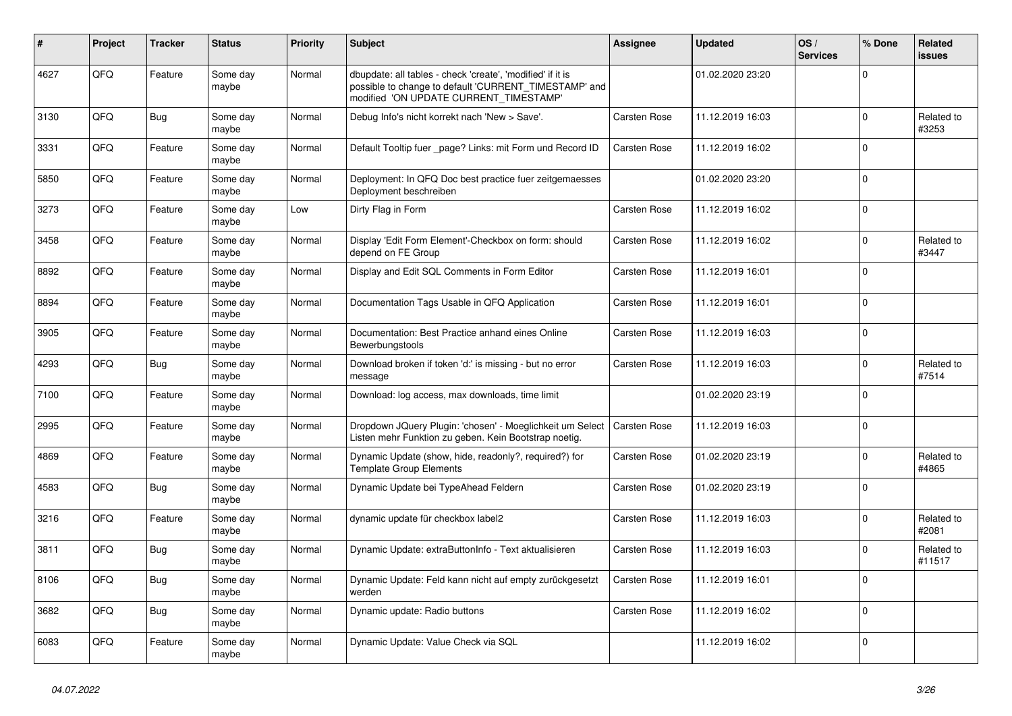| ∦    | Project | <b>Tracker</b> | <b>Status</b>     | <b>Priority</b> | <b>Subject</b>                                                                                                                                                | Assignee            | <b>Updated</b>   | OS/<br><b>Services</b> | % Done      | Related<br>issues    |
|------|---------|----------------|-------------------|-----------------|---------------------------------------------------------------------------------------------------------------------------------------------------------------|---------------------|------------------|------------------------|-------------|----------------------|
| 4627 | QFQ     | Feature        | Some day<br>maybe | Normal          | dbupdate: all tables - check 'create', 'modified' if it is<br>possible to change to default 'CURRENT_TIMESTAMP' and<br>modified 'ON UPDATE CURRENT TIMESTAMP' |                     | 01.02.2020 23:20 |                        | $\Omega$    |                      |
| 3130 | QFQ     | Bug            | Some day<br>maybe | Normal          | Debug Info's nicht korrekt nach 'New > Save'.                                                                                                                 | <b>Carsten Rose</b> | 11.12.2019 16:03 |                        | $\Omega$    | Related to<br>#3253  |
| 3331 | QFQ     | Feature        | Some day<br>maybe | Normal          | Default Tooltip fuer _page? Links: mit Form und Record ID                                                                                                     | <b>Carsten Rose</b> | 11.12.2019 16:02 |                        | $\Omega$    |                      |
| 5850 | QFQ     | Feature        | Some day<br>maybe | Normal          | Deployment: In QFQ Doc best practice fuer zeitgemaesses<br>Deployment beschreiben                                                                             |                     | 01.02.2020 23:20 |                        | $\Omega$    |                      |
| 3273 | QFQ     | Feature        | Some day<br>maybe | Low             | Dirty Flag in Form                                                                                                                                            | Carsten Rose        | 11.12.2019 16:02 |                        | $\Omega$    |                      |
| 3458 | QFQ     | Feature        | Some day<br>maybe | Normal          | Display 'Edit Form Element'-Checkbox on form: should<br>depend on FE Group                                                                                    | <b>Carsten Rose</b> | 11.12.2019 16:02 |                        | $\Omega$    | Related to<br>#3447  |
| 8892 | QFQ     | Feature        | Some day<br>maybe | Normal          | Display and Edit SQL Comments in Form Editor                                                                                                                  | <b>Carsten Rose</b> | 11.12.2019 16:01 |                        | $\Omega$    |                      |
| 8894 | QFQ     | Feature        | Some day<br>maybe | Normal          | Documentation Tags Usable in QFQ Application                                                                                                                  | <b>Carsten Rose</b> | 11.12.2019 16:01 |                        | $\Omega$    |                      |
| 3905 | QFQ     | Feature        | Some day<br>maybe | Normal          | Documentation: Best Practice anhand eines Online<br>Bewerbungstools                                                                                           | Carsten Rose        | 11.12.2019 16:03 |                        | $\mathbf 0$ |                      |
| 4293 | QFQ     | Bug            | Some day<br>maybe | Normal          | Download broken if token 'd:' is missing - but no error<br>message                                                                                            | Carsten Rose        | 11.12.2019 16:03 |                        | $\Omega$    | Related to<br>#7514  |
| 7100 | QFQ     | Feature        | Some day<br>maybe | Normal          | Download: log access, max downloads, time limit                                                                                                               |                     | 01.02.2020 23:19 |                        | $\Omega$    |                      |
| 2995 | QFQ     | Feature        | Some day<br>maybe | Normal          | Dropdown JQuery Plugin: 'chosen' - Moeglichkeit um Select<br>Listen mehr Funktion zu geben. Kein Bootstrap noetig.                                            | <b>Carsten Rose</b> | 11.12.2019 16:03 |                        | $\Omega$    |                      |
| 4869 | QFQ     | Feature        | Some day<br>maybe | Normal          | Dynamic Update (show, hide, readonly?, required?) for<br><b>Template Group Elements</b>                                                                       | <b>Carsten Rose</b> | 01.02.2020 23:19 |                        | $\Omega$    | Related to<br>#4865  |
| 4583 | QFQ     | Bug            | Some day<br>maybe | Normal          | Dynamic Update bei TypeAhead Feldern                                                                                                                          | <b>Carsten Rose</b> | 01.02.2020 23:19 |                        | $\Omega$    |                      |
| 3216 | QFQ     | Feature        | Some day<br>maybe | Normal          | dynamic update für checkbox label2                                                                                                                            | <b>Carsten Rose</b> | 11.12.2019 16:03 |                        | $\Omega$    | Related to<br>#2081  |
| 3811 | QFQ     | Bug            | Some day<br>maybe | Normal          | Dynamic Update: extraButtonInfo - Text aktualisieren                                                                                                          | Carsten Rose        | 11.12.2019 16:03 |                        | $\mathbf 0$ | Related to<br>#11517 |
| 8106 | QFQ     | <b>Bug</b>     | Some day<br>maybe | Normal          | Dynamic Update: Feld kann nicht auf empty zurückgesetzt<br>werden                                                                                             | <b>Carsten Rose</b> | 11.12.2019 16:01 |                        | $\Omega$    |                      |
| 3682 | QFQ     | Bug            | Some day<br>maybe | Normal          | Dynamic update: Radio buttons                                                                                                                                 | <b>Carsten Rose</b> | 11.12.2019 16:02 |                        | $\Omega$    |                      |
| 6083 | QFQ     | Feature        | Some day<br>maybe | Normal          | Dynamic Update: Value Check via SQL                                                                                                                           |                     | 11.12.2019 16:02 |                        | $\Omega$    |                      |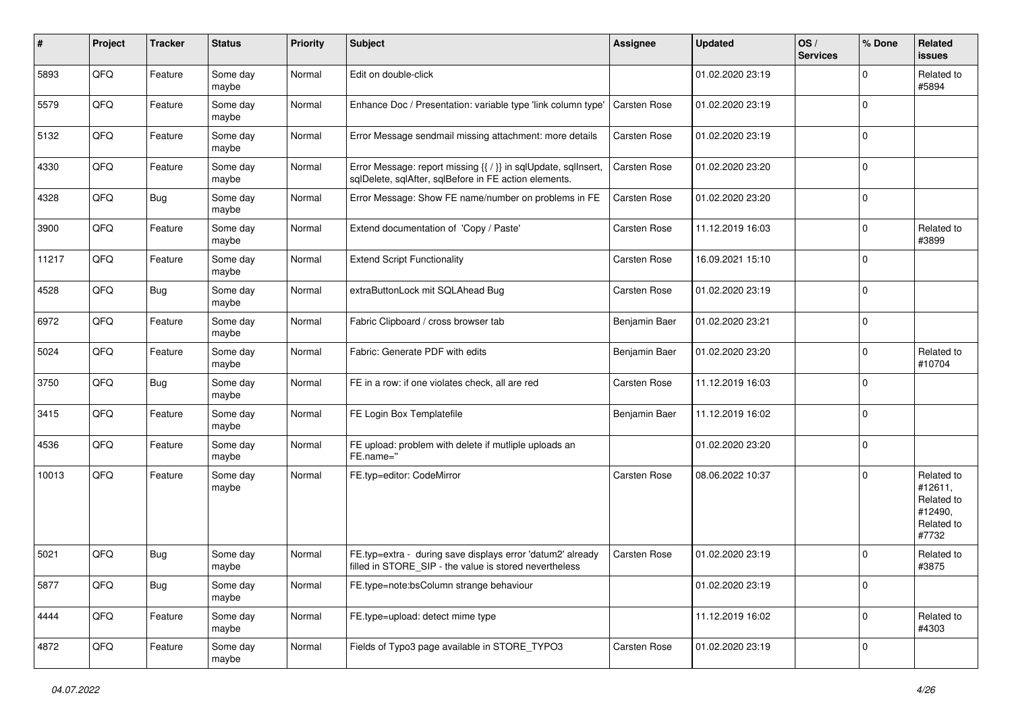| #     | Project | <b>Tracker</b> | <b>Status</b>     | <b>Priority</b> | <b>Subject</b>                                                                                                          | <b>Assignee</b>     | <b>Updated</b>   | OS/<br><b>Services</b> | % Done      | Related<br>issues                                                     |
|-------|---------|----------------|-------------------|-----------------|-------------------------------------------------------------------------------------------------------------------------|---------------------|------------------|------------------------|-------------|-----------------------------------------------------------------------|
| 5893  | QFQ     | Feature        | Some day<br>maybe | Normal          | Edit on double-click                                                                                                    |                     | 01.02.2020 23:19 |                        | $\Omega$    | Related to<br>#5894                                                   |
| 5579  | QFQ     | Feature        | Some day<br>maybe | Normal          | Enhance Doc / Presentation: variable type 'link column type'                                                            | <b>Carsten Rose</b> | 01.02.2020 23:19 |                        | $\Omega$    |                                                                       |
| 5132  | QFQ     | Feature        | Some dav<br>maybe | Normal          | Error Message sendmail missing attachment: more details                                                                 | Carsten Rose        | 01.02.2020 23:19 |                        | $\Omega$    |                                                                       |
| 4330  | QFQ     | Feature        | Some day<br>maybe | Normal          | Error Message: report missing {{ / }} in sqlUpdate, sqlInsert,<br>sqlDelete, sqlAfter, sqlBefore in FE action elements. | Carsten Rose        | 01.02.2020 23:20 |                        | $\Omega$    |                                                                       |
| 4328  | QFQ     | <b>Bug</b>     | Some day<br>maybe | Normal          | Error Message: Show FE name/number on problems in FE                                                                    | Carsten Rose        | 01.02.2020 23:20 |                        | $\mathbf 0$ |                                                                       |
| 3900  | QFQ     | Feature        | Some day<br>maybe | Normal          | Extend documentation of 'Copy / Paste'                                                                                  | Carsten Rose        | 11.12.2019 16:03 |                        | $\Omega$    | Related to<br>#3899                                                   |
| 11217 | QFQ     | Feature        | Some day<br>maybe | Normal          | <b>Extend Script Functionality</b>                                                                                      | Carsten Rose        | 16.09.2021 15:10 |                        | $\Omega$    |                                                                       |
| 4528  | QFQ     | Bug            | Some day<br>maybe | Normal          | extraButtonLock mit SQLAhead Bug                                                                                        | Carsten Rose        | 01.02.2020 23:19 |                        | $\mathbf 0$ |                                                                       |
| 6972  | QFQ     | Feature        | Some day<br>maybe | Normal          | Fabric Clipboard / cross browser tab                                                                                    | Benjamin Baer       | 01.02.2020 23:21 |                        | 0           |                                                                       |
| 5024  | QFQ     | Feature        | Some day<br>maybe | Normal          | Fabric: Generate PDF with edits                                                                                         | Benjamin Baer       | 01.02.2020 23:20 |                        | $\Omega$    | Related to<br>#10704                                                  |
| 3750  | QFQ     | Bug            | Some day<br>maybe | Normal          | FE in a row: if one violates check, all are red                                                                         | Carsten Rose        | 11.12.2019 16:03 |                        | $\Omega$    |                                                                       |
| 3415  | QFQ     | Feature        | Some day<br>maybe | Normal          | FE Login Box Templatefile                                                                                               | Benjamin Baer       | 11.12.2019 16:02 |                        | $\mathbf 0$ |                                                                       |
| 4536  | QFQ     | Feature        | Some day<br>maybe | Normal          | FE upload: problem with delete if mutliple uploads an<br>FE.name="                                                      |                     | 01.02.2020 23:20 |                        | $\Omega$    |                                                                       |
| 10013 | QFQ     | Feature        | Some day<br>maybe | Normal          | FE.typ=editor: CodeMirror                                                                                               | <b>Carsten Rose</b> | 08.06.2022 10:37 |                        | $\Omega$    | Related to<br>#12611,<br>Related to<br>#12490,<br>Related to<br>#7732 |
| 5021  | QFQ     | Bug            | Some day<br>maybe | Normal          | FE.typ=extra - during save displays error 'datum2' already<br>filled in STORE_SIP - the value is stored nevertheless    | Carsten Rose        | 01.02.2020 23:19 |                        | $\Omega$    | Related to<br>#3875                                                   |
| 5877  | QFG     | <b>Bug</b>     | Some day<br>maybe | Normal          | FE.type=note:bsColumn strange behaviour                                                                                 |                     | 01.02.2020 23:19 |                        | $\mathbf 0$ |                                                                       |
| 4444  | QFQ     | Feature        | Some day<br>maybe | Normal          | FE.type=upload: detect mime type                                                                                        |                     | 11.12.2019 16:02 |                        | 0           | Related to<br>#4303                                                   |
| 4872  | QFG     | Feature        | Some day<br>maybe | Normal          | Fields of Typo3 page available in STORE_TYPO3                                                                           | Carsten Rose        | 01.02.2020 23:19 |                        | $\mathbf 0$ |                                                                       |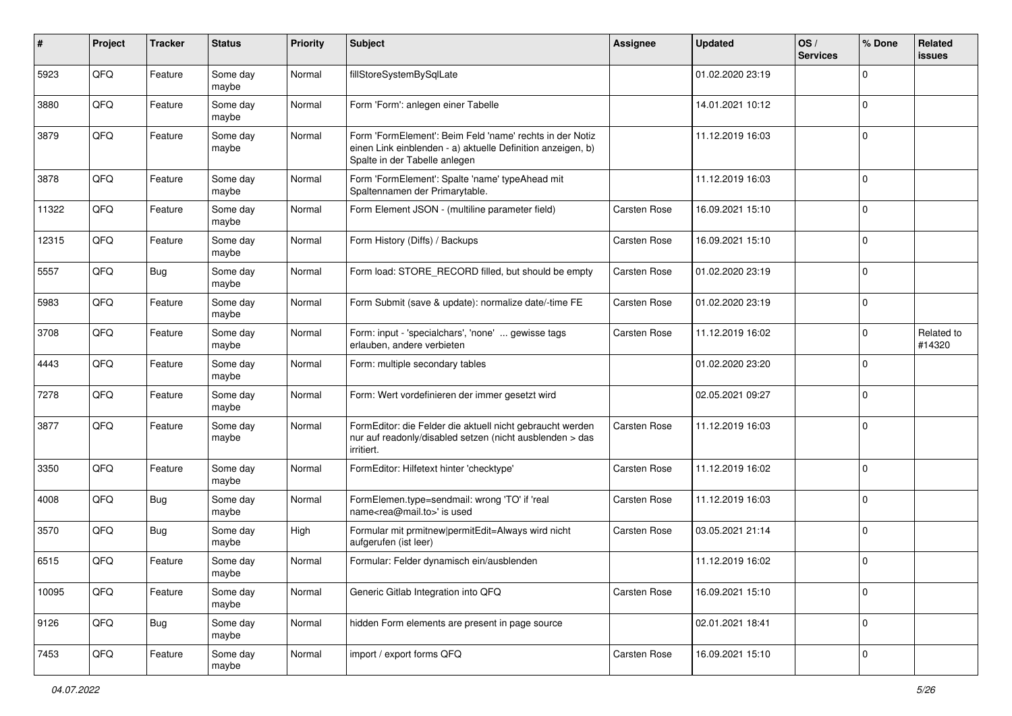| #     | Project | <b>Tracker</b> | <b>Status</b>     | <b>Priority</b> | Subject                                                                                                                                                  | Assignee            | <b>Updated</b>   | OS/<br><b>Services</b> | % Done      | Related<br>issues    |
|-------|---------|----------------|-------------------|-----------------|----------------------------------------------------------------------------------------------------------------------------------------------------------|---------------------|------------------|------------------------|-------------|----------------------|
| 5923  | QFQ     | Feature        | Some day<br>maybe | Normal          | fillStoreSystemBySqlLate                                                                                                                                 |                     | 01.02.2020 23:19 |                        | $\Omega$    |                      |
| 3880  | QFQ     | Feature        | Some day<br>maybe | Normal          | Form 'Form': anlegen einer Tabelle                                                                                                                       |                     | 14.01.2021 10:12 |                        | $\mathbf 0$ |                      |
| 3879  | QFQ     | Feature        | Some day<br>maybe | Normal          | Form 'FormElement': Beim Feld 'name' rechts in der Notiz<br>einen Link einblenden - a) aktuelle Definition anzeigen, b)<br>Spalte in der Tabelle anlegen |                     | 11.12.2019 16:03 |                        | 0           |                      |
| 3878  | QFQ     | Feature        | Some day<br>maybe | Normal          | Form 'FormElement': Spalte 'name' typeAhead mit<br>Spaltennamen der Primarytable.                                                                        |                     | 11.12.2019 16:03 |                        | $\Omega$    |                      |
| 11322 | QFQ     | Feature        | Some day<br>maybe | Normal          | Form Element JSON - (multiline parameter field)                                                                                                          | Carsten Rose        | 16.09.2021 15:10 |                        | $\mathbf 0$ |                      |
| 12315 | QFQ     | Feature        | Some day<br>maybe | Normal          | Form History (Diffs) / Backups                                                                                                                           | Carsten Rose        | 16.09.2021 15:10 |                        | 0           |                      |
| 5557  | QFQ     | Bug            | Some day<br>maybe | Normal          | Form load: STORE_RECORD filled, but should be empty                                                                                                      | Carsten Rose        | 01.02.2020 23:19 |                        | $\Omega$    |                      |
| 5983  | QFQ     | Feature        | Some day<br>maybe | Normal          | Form Submit (save & update): normalize date/-time FE                                                                                                     | Carsten Rose        | 01.02.2020 23:19 |                        | $\mathbf 0$ |                      |
| 3708  | QFQ     | Feature        | Some day<br>maybe | Normal          | Form: input - 'specialchars', 'none'  gewisse tags<br>erlauben, andere verbieten                                                                         | Carsten Rose        | 11.12.2019 16:02 |                        | $\Omega$    | Related to<br>#14320 |
| 4443  | QFQ     | Feature        | Some day<br>maybe | Normal          | Form: multiple secondary tables                                                                                                                          |                     | 01.02.2020 23:20 |                        | $\mathbf 0$ |                      |
| 7278  | QFQ     | Feature        | Some day<br>maybe | Normal          | Form: Wert vordefinieren der immer gesetzt wird                                                                                                          |                     | 02.05.2021 09:27 |                        | $\Omega$    |                      |
| 3877  | QFQ     | Feature        | Some day<br>maybe | Normal          | FormEditor: die Felder die aktuell nicht gebraucht werden<br>nur auf readonly/disabled setzen (nicht ausblenden > das<br>irritiert.                      | Carsten Rose        | 11.12.2019 16:03 |                        | $\Omega$    |                      |
| 3350  | QFQ     | Feature        | Some day<br>maybe | Normal          | FormEditor: Hilfetext hinter 'checktype'                                                                                                                 | Carsten Rose        | 11.12.2019 16:02 |                        | $\Omega$    |                      |
| 4008  | QFQ     | Bug            | Some day<br>maybe | Normal          | FormElemen.type=sendmail: wrong 'TO' if 'real<br>name <rea@mail.to>' is used</rea@mail.to>                                                               | Carsten Rose        | 11.12.2019 16:03 |                        | $\Omega$    |                      |
| 3570  | QFQ     | <b>Bug</b>     | Some day<br>maybe | High            | Formular mit prmitnew permitEdit=Always wird nicht<br>aufgerufen (ist leer)                                                                              | Carsten Rose        | 03.05.2021 21:14 |                        | $\mathbf 0$ |                      |
| 6515  | QFQ     | Feature        | Some day<br>maybe | Normal          | Formular: Felder dynamisch ein/ausblenden                                                                                                                |                     | 11.12.2019 16:02 |                        | $\Omega$    |                      |
| 10095 | QFQ     | Feature        | Some day<br>maybe | Normal          | Generic Gitlab Integration into QFQ                                                                                                                      | <b>Carsten Rose</b> | 16.09.2021 15:10 |                        | 0           |                      |
| 9126  | QFQ     | Bug            | Some day<br>maybe | Normal          | hidden Form elements are present in page source                                                                                                          |                     | 02.01.2021 18:41 |                        | $\mathbf 0$ |                      |
| 7453  | QFG     | Feature        | Some day<br>maybe | Normal          | import / export forms QFQ                                                                                                                                | Carsten Rose        | 16.09.2021 15:10 |                        | 0           |                      |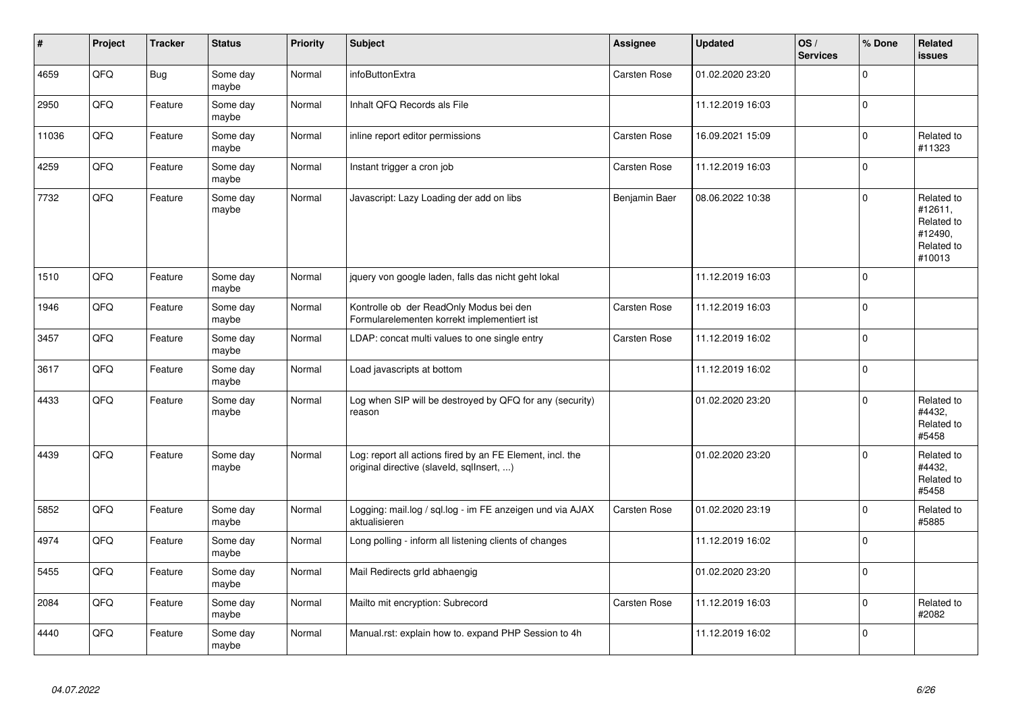| #     | Project | <b>Tracker</b> | <b>Status</b>     | <b>Priority</b> | <b>Subject</b>                                                                                         | Assignee      | <b>Updated</b>   | OS/<br><b>Services</b> | % Done      | <b>Related</b><br><b>issues</b>                                        |
|-------|---------|----------------|-------------------|-----------------|--------------------------------------------------------------------------------------------------------|---------------|------------------|------------------------|-------------|------------------------------------------------------------------------|
| 4659  | QFQ     | <b>Bug</b>     | Some day<br>maybe | Normal          | infoButtonExtra                                                                                        | Carsten Rose  | 01.02.2020 23:20 |                        | $\mathbf 0$ |                                                                        |
| 2950  | QFQ     | Feature        | Some day<br>maybe | Normal          | Inhalt QFQ Records als File                                                                            |               | 11.12.2019 16:03 |                        | $\mathbf 0$ |                                                                        |
| 11036 | QFQ     | Feature        | Some day<br>maybe | Normal          | inline report editor permissions                                                                       | Carsten Rose  | 16.09.2021 15:09 |                        | $\mathbf 0$ | Related to<br>#11323                                                   |
| 4259  | QFQ     | Feature        | Some day<br>maybe | Normal          | Instant trigger a cron job                                                                             | Carsten Rose  | 11.12.2019 16:03 |                        | $\Omega$    |                                                                        |
| 7732  | QFQ     | Feature        | Some day<br>maybe | Normal          | Javascript: Lazy Loading der add on libs                                                               | Benjamin Baer | 08.06.2022 10:38 |                        | $\Omega$    | Related to<br>#12611,<br>Related to<br>#12490,<br>Related to<br>#10013 |
| 1510  | QFQ     | Feature        | Some day<br>maybe | Normal          | jquery von google laden, falls das nicht geht lokal                                                    |               | 11.12.2019 16:03 |                        | $\Omega$    |                                                                        |
| 1946  | QFQ     | Feature        | Some day<br>maybe | Normal          | Kontrolle ob der ReadOnly Modus bei den<br>Formularelementen korrekt implementiert ist                 | Carsten Rose  | 11.12.2019 16:03 |                        | $\Omega$    |                                                                        |
| 3457  | QFQ     | Feature        | Some day<br>maybe | Normal          | LDAP: concat multi values to one single entry                                                          | Carsten Rose  | 11.12.2019 16:02 |                        | $\pmb{0}$   |                                                                        |
| 3617  | QFQ     | Feature        | Some day<br>maybe | Normal          | Load javascripts at bottom                                                                             |               | 11.12.2019 16:02 |                        | $\mathbf 0$ |                                                                        |
| 4433  | QFQ     | Feature        | Some day<br>maybe | Normal          | Log when SIP will be destroyed by QFQ for any (security)<br>reason                                     |               | 01.02.2020 23:20 |                        | $\Omega$    | Related to<br>#4432,<br>Related to<br>#5458                            |
| 4439  | QFQ     | Feature        | Some day<br>maybe | Normal          | Log: report all actions fired by an FE Element, incl. the<br>original directive (slaveld, sqllnsert, ) |               | 01.02.2020 23:20 |                        | $\Omega$    | Related to<br>#4432,<br>Related to<br>#5458                            |
| 5852  | QFQ     | Feature        | Some day<br>maybe | Normal          | Logging: mail.log / sql.log - im FE anzeigen und via AJAX<br>aktualisieren                             | Carsten Rose  | 01.02.2020 23:19 |                        | $\mathbf 0$ | Related to<br>#5885                                                    |
| 4974  | QFQ     | Feature        | Some day<br>maybe | Normal          | Long polling - inform all listening clients of changes                                                 |               | 11.12.2019 16:02 |                        | $\Omega$    |                                                                        |
| 5455  | QFQ     | Feature        | Some day<br>maybe | Normal          | Mail Redirects grld abhaengig                                                                          |               | 01.02.2020 23:20 |                        | $\mathbf 0$ |                                                                        |
| 2084  | QFQ     | Feature        | Some day<br>maybe | Normal          | Mailto mit encryption: Subrecord                                                                       | Carsten Rose  | 11.12.2019 16:03 |                        | $\mathbf 0$ | Related to<br>#2082                                                    |
| 4440  | QFQ     | Feature        | Some day<br>maybe | Normal          | Manual.rst: explain how to. expand PHP Session to 4h                                                   |               | 11.12.2019 16:02 |                        | $\mathbf 0$ |                                                                        |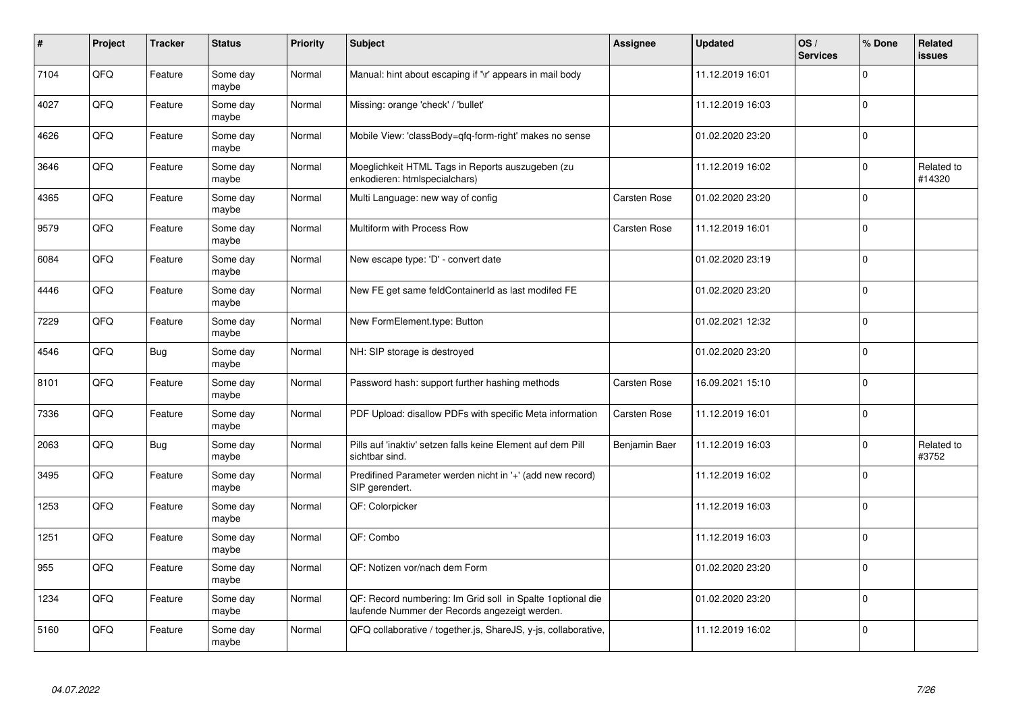| $\pmb{\#}$ | Project | <b>Tracker</b> | <b>Status</b>     | <b>Priority</b> | Subject                                                                                                      | <b>Assignee</b>     | <b>Updated</b>   | OS/<br><b>Services</b> | % Done      | Related<br><b>issues</b> |
|------------|---------|----------------|-------------------|-----------------|--------------------------------------------------------------------------------------------------------------|---------------------|------------------|------------------------|-------------|--------------------------|
| 7104       | QFQ     | Feature        | Some day<br>maybe | Normal          | Manual: hint about escaping if '\r' appears in mail body                                                     |                     | 11.12.2019 16:01 |                        | $\Omega$    |                          |
| 4027       | QFQ     | Feature        | Some day<br>maybe | Normal          | Missing: orange 'check' / 'bullet'                                                                           |                     | 11.12.2019 16:03 |                        | $\Omega$    |                          |
| 4626       | QFQ     | Feature        | Some day<br>maybe | Normal          | Mobile View: 'classBody=qfq-form-right' makes no sense                                                       |                     | 01.02.2020 23:20 |                        | $\Omega$    |                          |
| 3646       | QFQ     | Feature        | Some day<br>maybe | Normal          | Moeglichkeit HTML Tags in Reports auszugeben (zu<br>enkodieren: htmlspecialchars)                            |                     | 11.12.2019 16:02 |                        | $\Omega$    | Related to<br>#14320     |
| 4365       | QFQ     | Feature        | Some day<br>maybe | Normal          | Multi Language: new way of config                                                                            | <b>Carsten Rose</b> | 01.02.2020 23:20 |                        | $\mathbf 0$ |                          |
| 9579       | QFQ     | Feature        | Some day<br>maybe | Normal          | Multiform with Process Row                                                                                   | <b>Carsten Rose</b> | 11.12.2019 16:01 |                        | $\Omega$    |                          |
| 6084       | QFQ     | Feature        | Some day<br>maybe | Normal          | New escape type: 'D' - convert date                                                                          |                     | 01.02.2020 23:19 |                        | $\Omega$    |                          |
| 4446       | QFQ     | Feature        | Some day<br>maybe | Normal          | New FE get same feldContainerId as last modifed FE                                                           |                     | 01.02.2020 23:20 |                        | $\Omega$    |                          |
| 7229       | QFQ     | Feature        | Some day<br>maybe | Normal          | New FormElement.type: Button                                                                                 |                     | 01.02.2021 12:32 |                        | $\Omega$    |                          |
| 4546       | QFQ     | Bug            | Some day<br>maybe | Normal          | NH: SIP storage is destroyed                                                                                 |                     | 01.02.2020 23:20 |                        | $\Omega$    |                          |
| 8101       | QFQ     | Feature        | Some day<br>maybe | Normal          | Password hash: support further hashing methods                                                               | <b>Carsten Rose</b> | 16.09.2021 15:10 |                        | 0           |                          |
| 7336       | QFQ     | Feature        | Some day<br>maybe | Normal          | PDF Upload: disallow PDFs with specific Meta information                                                     | <b>Carsten Rose</b> | 11.12.2019 16:01 |                        | $\mathbf 0$ |                          |
| 2063       | QFQ     | <b>Bug</b>     | Some day<br>maybe | Normal          | Pills auf 'inaktiv' setzen falls keine Element auf dem Pill<br>sichtbar sind.                                | Benjamin Baer       | 11.12.2019 16:03 |                        | $\Omega$    | Related to<br>#3752      |
| 3495       | QFQ     | Feature        | Some day<br>maybe | Normal          | Predifined Parameter werden nicht in '+' (add new record)<br>SIP gerendert.                                  |                     | 11.12.2019 16:02 |                        | $\mathbf 0$ |                          |
| 1253       | QFQ     | Feature        | Some day<br>maybe | Normal          | QF: Colorpicker                                                                                              |                     | 11.12.2019 16:03 |                        | $\Omega$    |                          |
| 1251       | QFQ     | Feature        | Some day<br>maybe | Normal          | QF: Combo                                                                                                    |                     | 11.12.2019 16:03 |                        | $\Omega$    |                          |
| 955        | QFQ     | Feature        | Some day<br>maybe | Normal          | QF: Notizen vor/nach dem Form                                                                                |                     | 01.02.2020 23:20 |                        | $\Omega$    |                          |
| 1234       | QFQ     | Feature        | Some day<br>maybe | Normal          | QF: Record numbering: Im Grid soll in Spalte 1 optional die<br>laufende Nummer der Records angezeigt werden. |                     | 01.02.2020 23:20 |                        | 0           |                          |
| 5160       | QFQ     | Feature        | Some day<br>maybe | Normal          | QFQ collaborative / together.js, ShareJS, y-js, collaborative,                                               |                     | 11.12.2019 16:02 |                        | $\Omega$    |                          |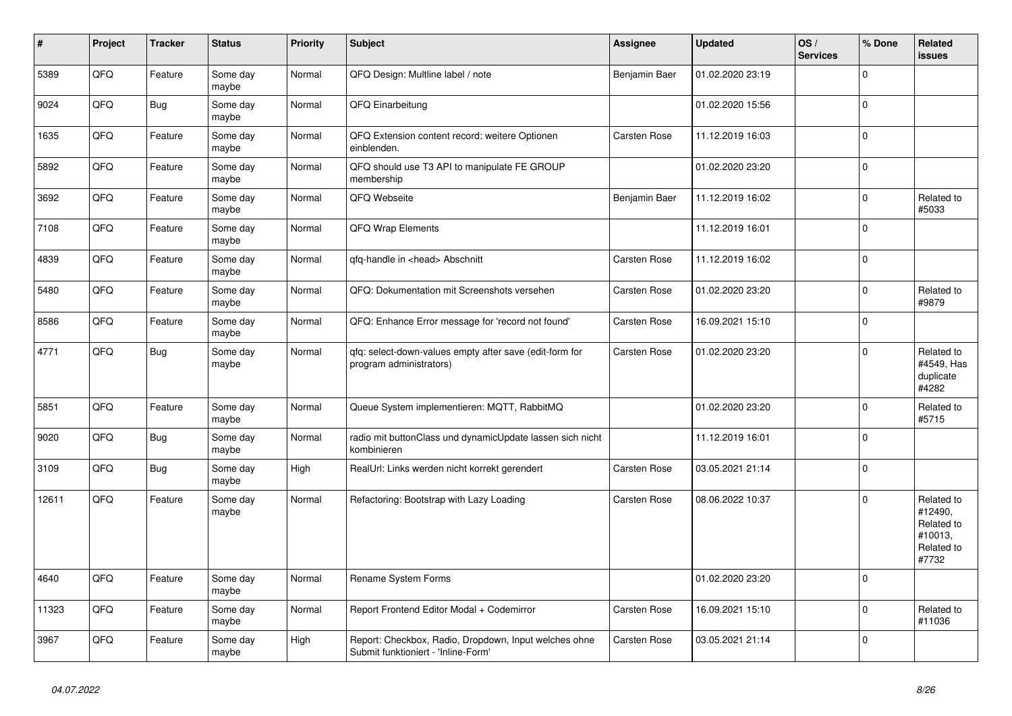| $\vert$ # | <b>Project</b> | <b>Tracker</b> | <b>Status</b>     | <b>Priority</b> | <b>Subject</b>                                                                               | Assignee            | <b>Updated</b>   | OS/<br><b>Services</b> | % Done      | Related<br><b>issues</b>                                              |
|-----------|----------------|----------------|-------------------|-----------------|----------------------------------------------------------------------------------------------|---------------------|------------------|------------------------|-------------|-----------------------------------------------------------------------|
| 5389      | QFQ            | Feature        | Some day<br>maybe | Normal          | QFQ Design: Multline label / note                                                            | Benjamin Baer       | 01.02.2020 23:19 |                        | $\Omega$    |                                                                       |
| 9024      | QFQ            | Bug            | Some day<br>maybe | Normal          | QFQ Einarbeitung                                                                             |                     | 01.02.2020 15:56 |                        | $\Omega$    |                                                                       |
| 1635      | QFQ            | Feature        | Some day<br>maybe | Normal          | QFQ Extension content record: weitere Optionen<br>einblenden.                                | Carsten Rose        | 11.12.2019 16:03 |                        | $\Omega$    |                                                                       |
| 5892      | QFQ            | Feature        | Some day<br>maybe | Normal          | QFQ should use T3 API to manipulate FE GROUP<br>membership                                   |                     | 01.02.2020 23:20 |                        | $\Omega$    |                                                                       |
| 3692      | QFQ            | Feature        | Some day<br>maybe | Normal          | QFQ Webseite                                                                                 | Benjamin Baer       | 11.12.2019 16:02 |                        | $\Omega$    | Related to<br>#5033                                                   |
| 7108      | QFQ            | Feature        | Some day<br>maybe | Normal          | QFQ Wrap Elements                                                                            |                     | 11.12.2019 16:01 |                        | $\Omega$    |                                                                       |
| 4839      | QFQ            | Feature        | Some day<br>maybe | Normal          | qfq-handle in <head> Abschnitt</head>                                                        | Carsten Rose        | 11.12.2019 16:02 |                        | $\Omega$    |                                                                       |
| 5480      | QFQ            | Feature        | Some day<br>maybe | Normal          | QFQ: Dokumentation mit Screenshots versehen                                                  | <b>Carsten Rose</b> | 01.02.2020 23:20 |                        | $\mathbf 0$ | Related to<br>#9879                                                   |
| 8586      | QFQ            | Feature        | Some day<br>maybe | Normal          | QFQ: Enhance Error message for 'record not found'                                            | Carsten Rose        | 16.09.2021 15:10 |                        | $\Omega$    |                                                                       |
| 4771      | QFQ            | Bug            | Some day<br>maybe | Normal          | qfq: select-down-values empty after save (edit-form for<br>program administrators)           | Carsten Rose        | 01.02.2020 23:20 |                        | $\Omega$    | Related to<br>#4549, Has<br>duplicate<br>#4282                        |
| 5851      | QFQ            | Feature        | Some day<br>maybe | Normal          | Queue System implementieren: MQTT, RabbitMQ                                                  |                     | 01.02.2020 23:20 |                        | $\mathbf 0$ | Related to<br>#5715                                                   |
| 9020      | QFQ            | <b>Bug</b>     | Some day<br>maybe | Normal          | radio mit buttonClass und dynamicUpdate lassen sich nicht<br>kombinieren                     |                     | 11.12.2019 16:01 |                        | $\Omega$    |                                                                       |
| 3109      | QFQ            | <b>Bug</b>     | Some day<br>maybe | High            | RealUrl: Links werden nicht korrekt gerendert                                                | Carsten Rose        | 03.05.2021 21:14 |                        | $\Omega$    |                                                                       |
| 12611     | QFQ            | Feature        | Some day<br>maybe | Normal          | Refactoring: Bootstrap with Lazy Loading                                                     | <b>Carsten Rose</b> | 08.06.2022 10:37 |                        | $\Omega$    | Related to<br>#12490,<br>Related to<br>#10013,<br>Related to<br>#7732 |
| 4640      | QFQ            | Feature        | Some day<br>maybe | Normal          | Rename System Forms                                                                          |                     | 01.02.2020 23:20 |                        | $\Omega$    |                                                                       |
| 11323     | QFQ            | Feature        | Some day<br>maybe | Normal          | Report Frontend Editor Modal + Codemirror                                                    | Carsten Rose        | 16.09.2021 15:10 |                        | $\Omega$    | Related to<br>#11036                                                  |
| 3967      | QFQ            | Feature        | Some day<br>maybe | High            | Report: Checkbox, Radio, Dropdown, Input welches ohne<br>Submit funktioniert - 'Inline-Form' | <b>Carsten Rose</b> | 03.05.2021 21:14 |                        | $\Omega$    |                                                                       |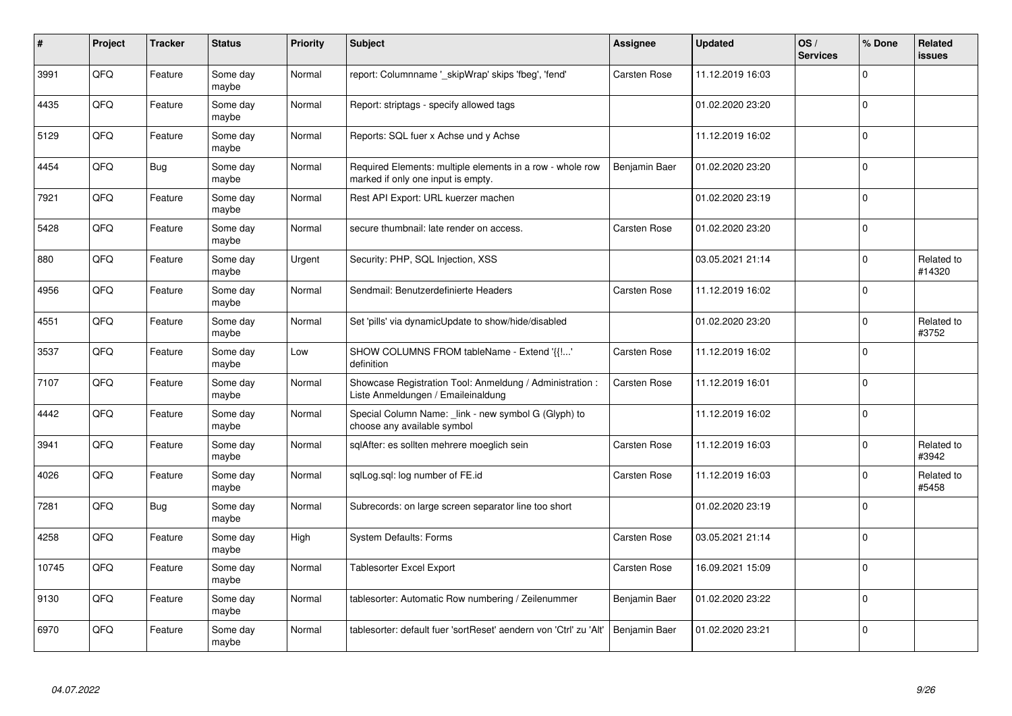| #     | Project | <b>Tracker</b> | <b>Status</b>     | <b>Priority</b> | <b>Subject</b>                                                                                  | Assignee            | <b>Updated</b>   | OS/<br><b>Services</b> | % Done      | Related<br><b>issues</b> |
|-------|---------|----------------|-------------------|-----------------|-------------------------------------------------------------------------------------------------|---------------------|------------------|------------------------|-------------|--------------------------|
| 3991  | QFQ     | Feature        | Some day<br>maybe | Normal          | report: Columnname '_skipWrap' skips 'fbeg', 'fend'                                             | <b>Carsten Rose</b> | 11.12.2019 16:03 |                        | $\Omega$    |                          |
| 4435  | QFQ     | Feature        | Some day<br>maybe | Normal          | Report: striptags - specify allowed tags                                                        |                     | 01.02.2020 23:20 |                        | $\Omega$    |                          |
| 5129  | QFQ     | Feature        | Some day<br>maybe | Normal          | Reports: SQL fuer x Achse und y Achse                                                           |                     | 11.12.2019 16:02 |                        | $\Omega$    |                          |
| 4454  | QFQ     | Bug            | Some day<br>maybe | Normal          | Required Elements: multiple elements in a row - whole row<br>marked if only one input is empty. | Benjamin Baer       | 01.02.2020 23:20 |                        | $\Omega$    |                          |
| 7921  | QFQ     | Feature        | Some day<br>maybe | Normal          | Rest API Export: URL kuerzer machen                                                             |                     | 01.02.2020 23:19 |                        | $\Omega$    |                          |
| 5428  | QFQ     | Feature        | Some day<br>maybe | Normal          | secure thumbnail: late render on access.                                                        | <b>Carsten Rose</b> | 01.02.2020 23:20 |                        | $\mathbf 0$ |                          |
| 880   | QFQ     | Feature        | Some day<br>maybe | Urgent          | Security: PHP, SQL Injection, XSS                                                               |                     | 03.05.2021 21:14 |                        | $\mathbf 0$ | Related to<br>#14320     |
| 4956  | QFQ     | Feature        | Some day<br>maybe | Normal          | Sendmail: Benutzerdefinierte Headers                                                            | Carsten Rose        | 11.12.2019 16:02 |                        | $\Omega$    |                          |
| 4551  | QFQ     | Feature        | Some day<br>maybe | Normal          | Set 'pills' via dynamicUpdate to show/hide/disabled                                             |                     | 01.02.2020 23:20 |                        | $\Omega$    | Related to<br>#3752      |
| 3537  | QFQ     | Feature        | Some day<br>maybe | Low             | SHOW COLUMNS FROM tableName - Extend '{{!'<br>definition                                        | <b>Carsten Rose</b> | 11.12.2019 16:02 |                        | $\mathbf 0$ |                          |
| 7107  | QFQ     | Feature        | Some day<br>maybe | Normal          | Showcase Registration Tool: Anmeldung / Administration :<br>Liste Anmeldungen / Emaileinaldung  | <b>Carsten Rose</b> | 11.12.2019 16:01 |                        | $\Omega$    |                          |
| 4442  | QFQ     | Feature        | Some day<br>maybe | Normal          | Special Column Name: _link - new symbol G (Glyph) to<br>choose any available symbol             |                     | 11.12.2019 16:02 |                        | $\Omega$    |                          |
| 3941  | QFQ     | Feature        | Some day<br>maybe | Normal          | sqlAfter: es sollten mehrere moeglich sein                                                      | <b>Carsten Rose</b> | 11.12.2019 16:03 |                        | $\mathbf 0$ | Related to<br>#3942      |
| 4026  | QFQ     | Feature        | Some day<br>maybe | Normal          | sglLog.sgl: log number of FE.id                                                                 | Carsten Rose        | 11.12.2019 16:03 |                        | 0           | Related to<br>#5458      |
| 7281  | QFQ     | Bug            | Some day<br>maybe | Normal          | Subrecords: on large screen separator line too short                                            |                     | 01.02.2020 23:19 |                        | $\Omega$    |                          |
| 4258  | QFQ     | Feature        | Some day<br>maybe | High            | <b>System Defaults: Forms</b>                                                                   | Carsten Rose        | 03.05.2021 21:14 |                        | $\Omega$    |                          |
| 10745 | QFQ     | Feature        | Some day<br>maybe | Normal          | Tablesorter Excel Export                                                                        | <b>Carsten Rose</b> | 16.09.2021 15:09 |                        | $\Omega$    |                          |
| 9130  | QFQ     | Feature        | Some day<br>maybe | Normal          | tablesorter: Automatic Row numbering / Zeilenummer                                              | Benjamin Baer       | 01.02.2020 23:22 |                        | $\mathbf 0$ |                          |
| 6970  | QFQ     | Feature        | Some day<br>maybe | Normal          | tablesorter: default fuer 'sortReset' aendern von 'Ctrl' zu 'Alt'                               | Benjamin Baer       | 01.02.2020 23:21 |                        | $\Omega$    |                          |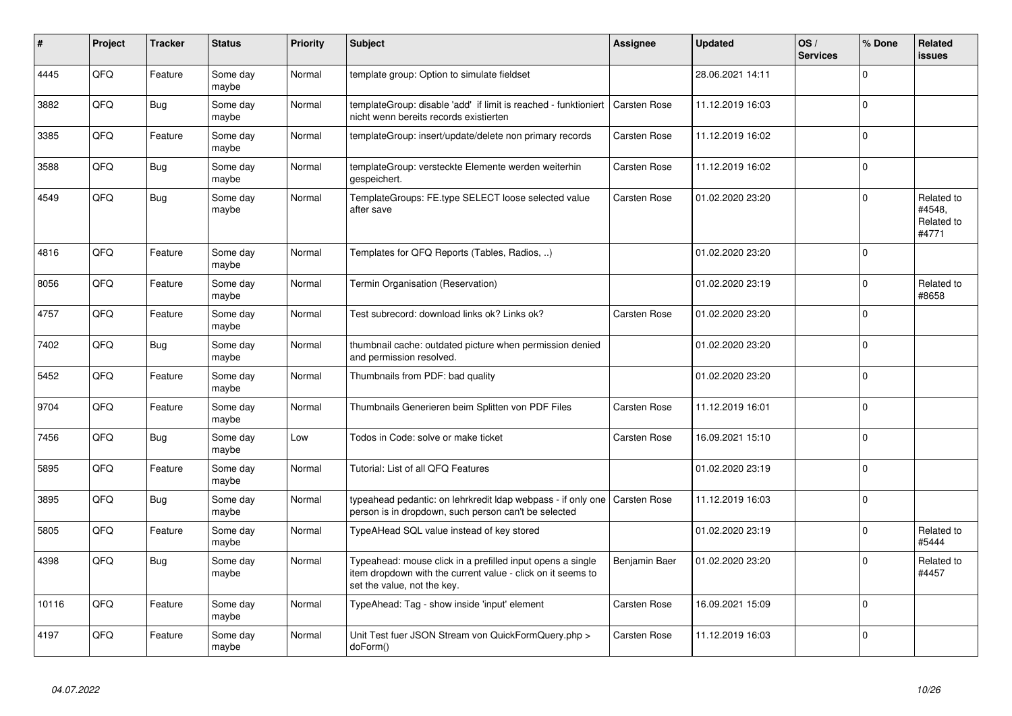| #     | Project | <b>Tracker</b> | <b>Status</b>     | <b>Priority</b> | <b>Subject</b>                                                                                                                                           | Assignee            | <b>Updated</b>   | OS/<br><b>Services</b> | % Done      | <b>Related</b><br><b>issues</b>             |
|-------|---------|----------------|-------------------|-----------------|----------------------------------------------------------------------------------------------------------------------------------------------------------|---------------------|------------------|------------------------|-------------|---------------------------------------------|
| 4445  | QFQ     | Feature        | Some day<br>maybe | Normal          | template group: Option to simulate fieldset                                                                                                              |                     | 28.06.2021 14:11 |                        | $\Omega$    |                                             |
| 3882  | QFQ     | Bug            | Some day<br>maybe | Normal          | templateGroup: disable 'add' if limit is reached - funktioniert<br>nicht wenn bereits records existierten                                                | <b>Carsten Rose</b> | 11.12.2019 16:03 |                        | $\Omega$    |                                             |
| 3385  | QFQ     | Feature        | Some day<br>maybe | Normal          | templateGroup: insert/update/delete non primary records                                                                                                  | <b>Carsten Rose</b> | 11.12.2019 16:02 |                        | $\Omega$    |                                             |
| 3588  | QFQ     | Bug            | Some day<br>maybe | Normal          | templateGroup: versteckte Elemente werden weiterhin<br>gespeichert.                                                                                      | <b>Carsten Rose</b> | 11.12.2019 16:02 |                        | $\Omega$    |                                             |
| 4549  | QFQ     | Bug            | Some day<br>maybe | Normal          | TemplateGroups: FE.type SELECT loose selected value<br>after save                                                                                        | <b>Carsten Rose</b> | 01.02.2020 23:20 |                        | $\Omega$    | Related to<br>#4548.<br>Related to<br>#4771 |
| 4816  | QFQ     | Feature        | Some day<br>maybe | Normal          | Templates for QFQ Reports (Tables, Radios, )                                                                                                             |                     | 01.02.2020 23:20 |                        | $\Omega$    |                                             |
| 8056  | QFQ     | Feature        | Some day<br>maybe | Normal          | Termin Organisation (Reservation)                                                                                                                        |                     | 01.02.2020 23:19 |                        | $\Omega$    | Related to<br>#8658                         |
| 4757  | QFQ     | Feature        | Some day<br>maybe | Normal          | Test subrecord: download links ok? Links ok?                                                                                                             | Carsten Rose        | 01.02.2020 23:20 |                        | $\Omega$    |                                             |
| 7402  | QFQ     | Bug            | Some day<br>maybe | Normal          | thumbnail cache: outdated picture when permission denied<br>and permission resolved.                                                                     |                     | 01.02.2020 23:20 |                        | $\Omega$    |                                             |
| 5452  | QFQ     | Feature        | Some day<br>maybe | Normal          | Thumbnails from PDF: bad quality                                                                                                                         |                     | 01.02.2020 23:20 |                        | $\Omega$    |                                             |
| 9704  | QFQ     | Feature        | Some day<br>maybe | Normal          | Thumbnails Generieren beim Splitten von PDF Files                                                                                                        | <b>Carsten Rose</b> | 11.12.2019 16:01 |                        | $\Omega$    |                                             |
| 7456  | QFQ     | Bug            | Some day<br>maybe | Low             | Todos in Code: solve or make ticket                                                                                                                      | <b>Carsten Rose</b> | 16.09.2021 15:10 |                        | $\Omega$    |                                             |
| 5895  | QFQ     | Feature        | Some day<br>maybe | Normal          | Tutorial: List of all QFQ Features                                                                                                                       |                     | 01.02.2020 23:19 |                        | $\Omega$    |                                             |
| 3895  | QFQ     | Bug            | Some day<br>maybe | Normal          | typeahead pedantic: on lehrkredit Idap webpass - if only one   Carsten Rose<br>person is in dropdown, such person can't be selected                      |                     | 11.12.2019 16:03 |                        | $\Omega$    |                                             |
| 5805  | QFQ     | Feature        | Some day<br>maybe | Normal          | TypeAHead SQL value instead of key stored                                                                                                                |                     | 01.02.2020 23:19 |                        | $\Omega$    | Related to<br>#5444                         |
| 4398  | QFQ     | Bug            | Some day<br>maybe | Normal          | Typeahead: mouse click in a prefilled input opens a single<br>item dropdown with the current value - click on it seems to<br>set the value, not the key. | Benjamin Baer       | 01.02.2020 23:20 |                        | $\Omega$    | Related to<br>#4457                         |
| 10116 | QFQ     | Feature        | Some day<br>maybe | Normal          | TypeAhead: Tag - show inside 'input' element                                                                                                             | Carsten Rose        | 16.09.2021 15:09 |                        | $\mathbf 0$ |                                             |
| 4197  | QFQ     | Feature        | Some day<br>maybe | Normal          | Unit Test fuer JSON Stream von QuickFormQuery.php ><br>doForm()                                                                                          | Carsten Rose        | 11.12.2019 16:03 |                        | $\Omega$    |                                             |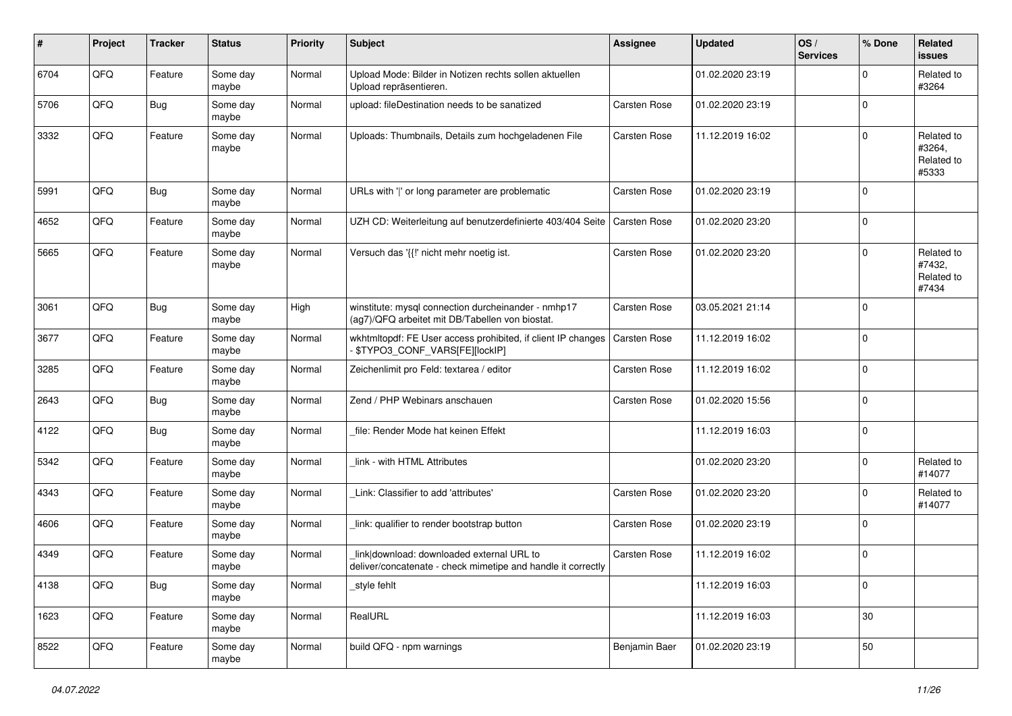| #    | Project | <b>Tracker</b> | <b>Status</b>     | <b>Priority</b> | <b>Subject</b>                                                                                            | Assignee            | <b>Updated</b>   | OS/<br><b>Services</b> | % Done      | Related<br><b>issues</b>                    |
|------|---------|----------------|-------------------|-----------------|-----------------------------------------------------------------------------------------------------------|---------------------|------------------|------------------------|-------------|---------------------------------------------|
| 6704 | QFQ     | Feature        | Some day<br>maybe | Normal          | Upload Mode: Bilder in Notizen rechts sollen aktuellen<br>Upload repräsentieren.                          |                     | 01.02.2020 23:19 |                        | $\Omega$    | Related to<br>#3264                         |
| 5706 | QFQ     | Bug            | Some day<br>maybe | Normal          | upload: fileDestination needs to be sanatized                                                             | <b>Carsten Rose</b> | 01.02.2020 23:19 |                        | $\Omega$    |                                             |
| 3332 | QFQ     | Feature        | Some day<br>maybe | Normal          | Uploads: Thumbnails, Details zum hochgeladenen File                                                       | <b>Carsten Rose</b> | 11.12.2019 16:02 |                        | $\Omega$    | Related to<br>#3264,<br>Related to<br>#5333 |
| 5991 | QFQ     | Bug            | Some day<br>maybe | Normal          | URLs with ' ' or long parameter are problematic                                                           | <b>Carsten Rose</b> | 01.02.2020 23:19 |                        | $\mathbf 0$ |                                             |
| 4652 | QFQ     | Feature        | Some day<br>maybe | Normal          | UZH CD: Weiterleitung auf benutzerdefinierte 403/404 Seite                                                | Carsten Rose        | 01.02.2020 23:20 |                        | $\mathbf 0$ |                                             |
| 5665 | QFQ     | Feature        | Some day<br>maybe | Normal          | Versuch das '{{!' nicht mehr noetig ist.                                                                  | Carsten Rose        | 01.02.2020 23:20 |                        | $\Omega$    | Related to<br>#7432,<br>Related to<br>#7434 |
| 3061 | QFQ     | Bug            | Some day<br>maybe | High            | winstitute: mysql connection durcheinander - nmhp17<br>(ag7)/QFQ arbeitet mit DB/Tabellen von biostat.    | Carsten Rose        | 03.05.2021 21:14 |                        | $\mathbf 0$ |                                             |
| 3677 | QFQ     | Feature        | Some day<br>maybe | Normal          | wkhtmltopdf: FE User access prohibited, if client IP changes<br>\$TYPO3_CONF_VARS[FE][locklP]             | Carsten Rose        | 11.12.2019 16:02 |                        | 0           |                                             |
| 3285 | QFQ     | Feature        | Some day<br>maybe | Normal          | Zeichenlimit pro Feld: textarea / editor                                                                  | <b>Carsten Rose</b> | 11.12.2019 16:02 |                        | $\mathbf 0$ |                                             |
| 2643 | QFQ     | <b>Bug</b>     | Some day<br>maybe | Normal          | Zend / PHP Webinars anschauen                                                                             | Carsten Rose        | 01.02.2020 15:56 |                        | $\mathbf 0$ |                                             |
| 4122 | QFQ     | Bug            | Some day<br>maybe | Normal          | file: Render Mode hat keinen Effekt                                                                       |                     | 11.12.2019 16:03 |                        | $\Omega$    |                                             |
| 5342 | QFQ     | Feature        | Some day<br>maybe | Normal          | link - with HTML Attributes                                                                               |                     | 01.02.2020 23:20 |                        | $\Omega$    | Related to<br>#14077                        |
| 4343 | QFQ     | Feature        | Some day<br>maybe | Normal          | Link: Classifier to add 'attributes'                                                                      | Carsten Rose        | 01.02.2020 23:20 |                        | $\Omega$    | Related to<br>#14077                        |
| 4606 | QFQ     | Feature        | Some day<br>maybe | Normal          | link: qualifier to render bootstrap button                                                                | Carsten Rose        | 01.02.2020 23:19 |                        | $\mathbf 0$ |                                             |
| 4349 | QFQ     | Feature        | Some day<br>maybe | Normal          | link download: downloaded external URL to<br>deliver/concatenate - check mimetipe and handle it correctly | Carsten Rose        | 11.12.2019 16:02 |                        | $\mathbf 0$ |                                             |
| 4138 | QFQ     | <b>Bug</b>     | Some day<br>maybe | Normal          | style fehlt                                                                                               |                     | 11.12.2019 16:03 |                        | 0           |                                             |
| 1623 | QFQ     | Feature        | Some day<br>maybe | Normal          | RealURL                                                                                                   |                     | 11.12.2019 16:03 |                        | $30\,$      |                                             |
| 8522 | QFG     | Feature        | Some day<br>maybe | Normal          | build QFQ - npm warnings                                                                                  | Benjamin Baer       | 01.02.2020 23:19 |                        | 50          |                                             |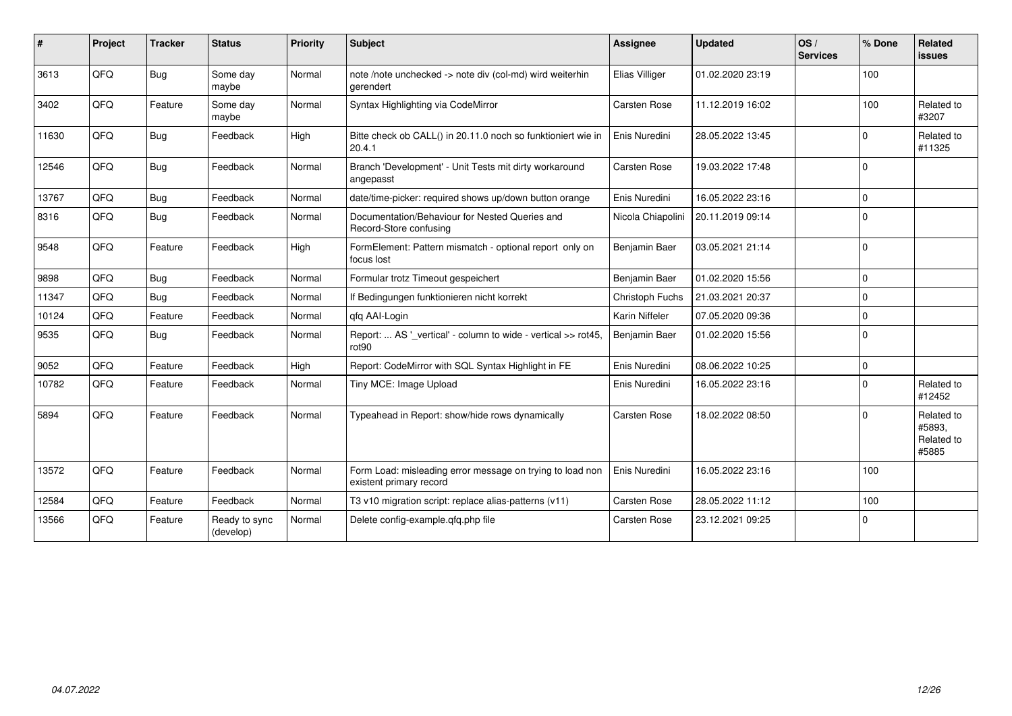| #     | Project | <b>Tracker</b> | <b>Status</b>              | <b>Priority</b> | Subject                                                                              | <b>Assignee</b>     | <b>Updated</b>   | OS/<br><b>Services</b> | % Done      | Related<br><b>issues</b>                    |
|-------|---------|----------------|----------------------------|-----------------|--------------------------------------------------------------------------------------|---------------------|------------------|------------------------|-------------|---------------------------------------------|
| 3613  | QFQ     | Bug            | Some day<br>maybe          | Normal          | note /note unchecked -> note div (col-md) wird weiterhin<br>gerendert                | Elias Villiger      | 01.02.2020 23:19 |                        | 100         |                                             |
| 3402  | QFQ     | Feature        | Some day<br>maybe          | Normal          | Syntax Highlighting via CodeMirror                                                   | <b>Carsten Rose</b> | 11.12.2019 16:02 |                        | 100         | Related to<br>#3207                         |
| 11630 | QFQ     | Bug            | Feedback                   | High            | Bitte check ob CALL() in 20.11.0 noch so funktioniert wie in<br>20.4.1               | Enis Nuredini       | 28.05.2022 13:45 |                        | $\Omega$    | Related to<br>#11325                        |
| 12546 | QFQ     | Bug            | Feedback                   | Normal          | Branch 'Development' - Unit Tests mit dirty workaround<br>angepasst                  | Carsten Rose        | 19.03.2022 17:48 |                        | $\mathbf 0$ |                                             |
| 13767 | QFQ     | <b>Bug</b>     | Feedback                   | Normal          | date/time-picker: required shows up/down button orange                               | Enis Nuredini       | 16.05.2022 23:16 |                        | $\Omega$    |                                             |
| 8316  | QFQ     | Bug            | Feedback                   | Normal          | Documentation/Behaviour for Nested Queries and<br>Record-Store confusing             | Nicola Chiapolini   | 20.11.2019 09:14 |                        | $\Omega$    |                                             |
| 9548  | QFQ     | Feature        | Feedback                   | High            | FormElement: Pattern mismatch - optional report only on<br>focus lost                | Benjamin Baer       | 03.05.2021 21:14 |                        | $\Omega$    |                                             |
| 9898  | QFQ     | Bug            | Feedback                   | Normal          | Formular trotz Timeout gespeichert                                                   | Benjamin Baer       | 01.02.2020 15:56 |                        | $\Omega$    |                                             |
| 11347 | QFQ     | Bug            | Feedback                   | Normal          | If Bedingungen funktionieren nicht korrekt                                           | Christoph Fuchs     | 21.03.2021 20:37 |                        | $\Omega$    |                                             |
| 10124 | QFQ     | Feature        | Feedback                   | Normal          | qfq AAI-Login                                                                        | Karin Niffeler      | 07.05.2020 09:36 |                        | $\Omega$    |                                             |
| 9535  | QFQ     | Bug            | Feedback                   | Normal          | Report:  AS '_vertical' - column to wide - vertical >> rot45,<br>rot90               | Benjamin Baer       | 01.02.2020 15:56 |                        | $\Omega$    |                                             |
| 9052  | QFQ     | Feature        | Feedback                   | High            | Report: CodeMirror with SQL Syntax Highlight in FE                                   | Enis Nuredini       | 08.06.2022 10:25 |                        | $\mathbf 0$ |                                             |
| 10782 | QFQ     | Feature        | Feedback                   | Normal          | Tiny MCE: Image Upload                                                               | Enis Nuredini       | 16.05.2022 23:16 |                        | $\Omega$    | Related to<br>#12452                        |
| 5894  | QFQ     | Feature        | Feedback                   | Normal          | Typeahead in Report: show/hide rows dynamically                                      | <b>Carsten Rose</b> | 18.02.2022 08:50 |                        | $\Omega$    | Related to<br>#5893,<br>Related to<br>#5885 |
| 13572 | QFQ     | Feature        | Feedback                   | Normal          | Form Load: misleading error message on trying to load non<br>existent primary record | Enis Nuredini       | 16.05.2022 23:16 |                        | 100         |                                             |
| 12584 | QFQ     | Feature        | Feedback                   | Normal          | T3 v10 migration script: replace alias-patterns (v11)                                | <b>Carsten Rose</b> | 28.05.2022 11:12 |                        | 100         |                                             |
| 13566 | QFQ     | Feature        | Ready to sync<br>(develop) | Normal          | Delete config-example.qfq.php file                                                   | Carsten Rose        | 23.12.2021 09:25 |                        | $\Omega$    |                                             |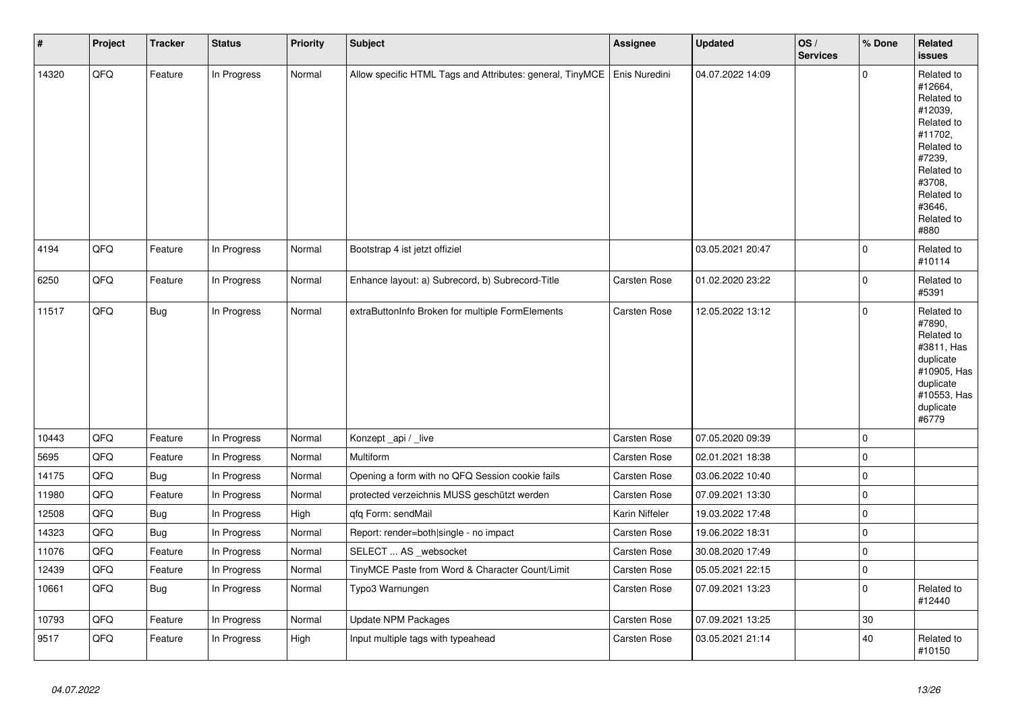| $\vert$ # | Project | <b>Tracker</b> | <b>Status</b> | Priority | <b>Subject</b>                                            | Assignee       | <b>Updated</b>   | OS/<br><b>Services</b> | % Done      | Related<br><b>issues</b>                                                                                                                                              |
|-----------|---------|----------------|---------------|----------|-----------------------------------------------------------|----------------|------------------|------------------------|-------------|-----------------------------------------------------------------------------------------------------------------------------------------------------------------------|
| 14320     | QFQ     | Feature        | In Progress   | Normal   | Allow specific HTML Tags and Attributes: general, TinyMCE | Enis Nuredini  | 04.07.2022 14:09 |                        | $\mathbf 0$ | Related to<br>#12664,<br>Related to<br>#12039,<br>Related to<br>#11702,<br>Related to<br>#7239,<br>Related to<br>#3708.<br>Related to<br>#3646,<br>Related to<br>#880 |
| 4194      | QFQ     | Feature        | In Progress   | Normal   | Bootstrap 4 ist jetzt offiziel                            |                | 03.05.2021 20:47 |                        | $\mathsf 0$ | Related to<br>#10114                                                                                                                                                  |
| 6250      | QFQ     | Feature        | In Progress   | Normal   | Enhance layout: a) Subrecord, b) Subrecord-Title          | Carsten Rose   | 01.02.2020 23:22 |                        | $\mathsf 0$ | Related to<br>#5391                                                                                                                                                   |
| 11517     | QFQ     | <b>Bug</b>     | In Progress   | Normal   | extraButtonInfo Broken for multiple FormElements          | Carsten Rose   | 12.05.2022 13:12 |                        | $\mathsf 0$ | Related to<br>#7890,<br>Related to<br>#3811, Has<br>duplicate<br>#10905, Has<br>duplicate<br>#10553, Has<br>duplicate<br>#6779                                        |
| 10443     | QFQ     | Feature        | In Progress   | Normal   | Konzept _api / _live                                      | Carsten Rose   | 07.05.2020 09:39 |                        | $\mathsf 0$ |                                                                                                                                                                       |
| 5695      | QFQ     | Feature        | In Progress   | Normal   | Multiform                                                 | Carsten Rose   | 02.01.2021 18:38 |                        | $\mathsf 0$ |                                                                                                                                                                       |
| 14175     | QFQ     | <b>Bug</b>     | In Progress   | Normal   | Opening a form with no QFQ Session cookie fails           | Carsten Rose   | 03.06.2022 10:40 |                        | $\mathbf 0$ |                                                                                                                                                                       |
| 11980     | QFQ     | Feature        | In Progress   | Normal   | protected verzeichnis MUSS geschützt werden               | Carsten Rose   | 07.09.2021 13:30 |                        | $\pmb{0}$   |                                                                                                                                                                       |
| 12508     | QFQ     | <b>Bug</b>     | In Progress   | High     | qfq Form: sendMail                                        | Karin Niffeler | 19.03.2022 17:48 |                        | $\mathsf 0$ |                                                                                                                                                                       |
| 14323     | QFQ     | Bug            | In Progress   | Normal   | Report: render=both single - no impact                    | Carsten Rose   | 19.06.2022 18:31 |                        | $\mathsf 0$ |                                                                                                                                                                       |
| 11076     | QFQ     | Feature        | In Progress   | Normal   | SELECT  AS _websocket                                     | Carsten Rose   | 30.08.2020 17:49 |                        | $\pmb{0}$   |                                                                                                                                                                       |
| 12439     | QFQ     | Feature        | In Progress   | Normal   | TinyMCE Paste from Word & Character Count/Limit           | Carsten Rose   | 05.05.2021 22:15 |                        | $\pmb{0}$   |                                                                                                                                                                       |
| 10661     | QFQ     | <b>Bug</b>     | In Progress   | Normal   | Typo3 Warnungen                                           | Carsten Rose   | 07.09.2021 13:23 |                        | $\mathsf 0$ | Related to<br>#12440                                                                                                                                                  |
| 10793     | QFQ     | Feature        | In Progress   | Normal   | <b>Update NPM Packages</b>                                | Carsten Rose   | 07.09.2021 13:25 |                        | 30          |                                                                                                                                                                       |
| 9517      | QFQ     | Feature        | In Progress   | High     | Input multiple tags with typeahead                        | Carsten Rose   | 03.05.2021 21:14 |                        | 40          | Related to<br>#10150                                                                                                                                                  |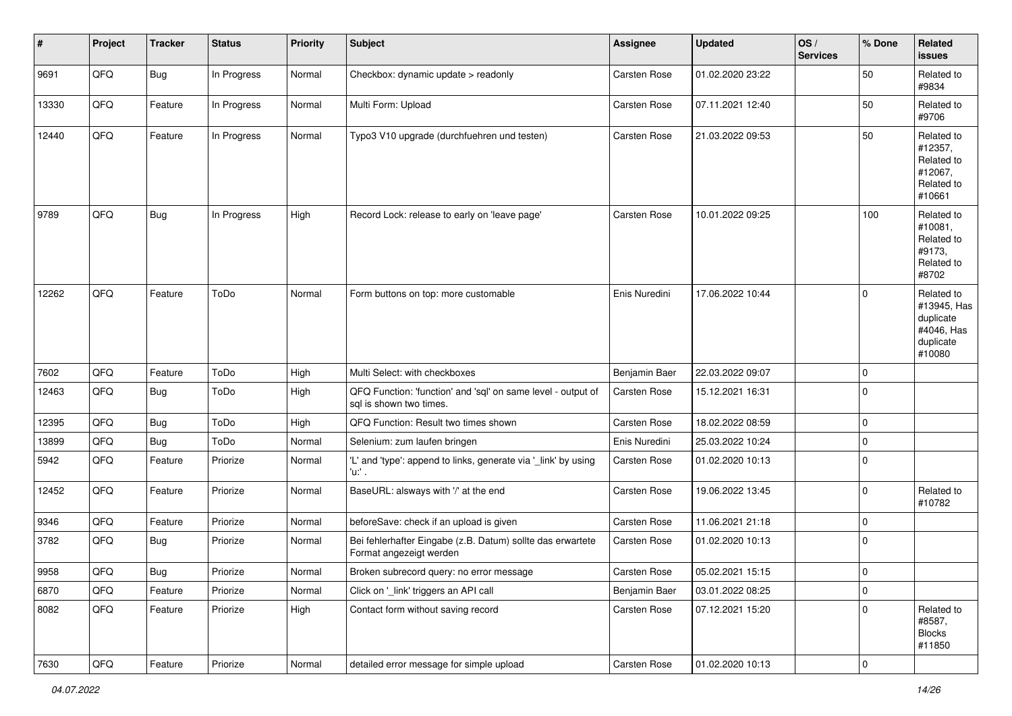| #     | Project | <b>Tracker</b> | <b>Status</b> | <b>Priority</b> | Subject                                                                                 | <b>Assignee</b>     | <b>Updated</b>   | OS/<br><b>Services</b> | % Done      | Related<br><b>issues</b>                                                    |
|-------|---------|----------------|---------------|-----------------|-----------------------------------------------------------------------------------------|---------------------|------------------|------------------------|-------------|-----------------------------------------------------------------------------|
| 9691  | QFQ     | <b>Bug</b>     | In Progress   | Normal          | Checkbox: dynamic update > readonly                                                     | <b>Carsten Rose</b> | 01.02.2020 23:22 |                        | 50          | Related to<br>#9834                                                         |
| 13330 | QFQ     | Feature        | In Progress   | Normal          | Multi Form: Upload                                                                      | <b>Carsten Rose</b> | 07.11.2021 12:40 |                        | 50          | Related to<br>#9706                                                         |
| 12440 | QFQ     | Feature        | In Progress   | Normal          | Typo3 V10 upgrade (durchfuehren und testen)                                             | <b>Carsten Rose</b> | 21.03.2022 09:53 |                        | 50          | Related to<br>#12357,<br>Related to<br>#12067,<br>Related to<br>#10661      |
| 9789  | QFQ     | <b>Bug</b>     | In Progress   | High            | Record Lock: release to early on 'leave page'                                           | <b>Carsten Rose</b> | 10.01.2022 09:25 |                        | 100         | Related to<br>#10081,<br>Related to<br>#9173,<br>Related to<br>#8702        |
| 12262 | QFQ     | Feature        | ToDo          | Normal          | Form buttons on top: more customable                                                    | Enis Nuredini       | 17.06.2022 10:44 |                        | 0           | Related to<br>#13945, Has<br>duplicate<br>#4046, Has<br>duplicate<br>#10080 |
| 7602  | QFQ     | Feature        | ToDo          | High            | Multi Select: with checkboxes                                                           | Benjamin Baer       | 22.03.2022 09:07 |                        | $\mathbf 0$ |                                                                             |
| 12463 | QFQ     | <b>Bug</b>     | ToDo          | High            | QFQ Function: 'function' and 'sql' on same level - output of<br>sal is shown two times. | Carsten Rose        | 15.12.2021 16:31 |                        | $\mathbf 0$ |                                                                             |
| 12395 | QFQ     | Bug            | ToDo          | High            | QFQ Function: Result two times shown                                                    | <b>Carsten Rose</b> | 18.02.2022 08:59 |                        | $\mathbf 0$ |                                                                             |
| 13899 | QFQ     | <b>Bug</b>     | ToDo          | Normal          | Selenium: zum laufen bringen                                                            | Enis Nuredini       | 25.03.2022 10:24 |                        | 0           |                                                                             |
| 5942  | QFQ     | Feature        | Priorize      | Normal          | 'L' and 'type': append to links, generate via '_link' by using<br>'u:' .                | Carsten Rose        | 01.02.2020 10:13 |                        | $\Omega$    |                                                                             |
| 12452 | QFQ     | Feature        | Priorize      | Normal          | BaseURL: alsways with '/' at the end                                                    | Carsten Rose        | 19.06.2022 13:45 |                        | $\mathbf 0$ | Related to<br>#10782                                                        |
| 9346  | QFQ     | Feature        | Priorize      | Normal          | beforeSave: check if an upload is given                                                 | <b>Carsten Rose</b> | 11.06.2021 21:18 |                        | $\mathbf 0$ |                                                                             |
| 3782  | QFQ     | Bug            | Priorize      | Normal          | Bei fehlerhafter Eingabe (z.B. Datum) sollte das erwartete<br>Format angezeigt werden   | Carsten Rose        | 01.02.2020 10:13 |                        | 0           |                                                                             |
| 9958  | QFQ     | Bug            | Priorize      | Normal          | Broken subrecord query: no error message                                                | Carsten Rose        | 05.02.2021 15:15 |                        | $\Omega$    |                                                                             |
| 6870  | QFQ     | Feature        | Priorize      | Normal          | Click on '_link' triggers an API call                                                   | Benjamin Baer       | 03.01.2022 08:25 |                        | $\mathbf 0$ |                                                                             |
| 8082  | QFQ     | Feature        | Priorize      | High            | Contact form without saving record                                                      | Carsten Rose        | 07.12.2021 15:20 |                        | $\mathbf 0$ | Related to<br>#8587,<br><b>Blocks</b><br>#11850                             |
| 7630  | QFG     | Feature        | Priorize      | Normal          | detailed error message for simple upload                                                | Carsten Rose        | 01.02.2020 10:13 |                        | 0           |                                                                             |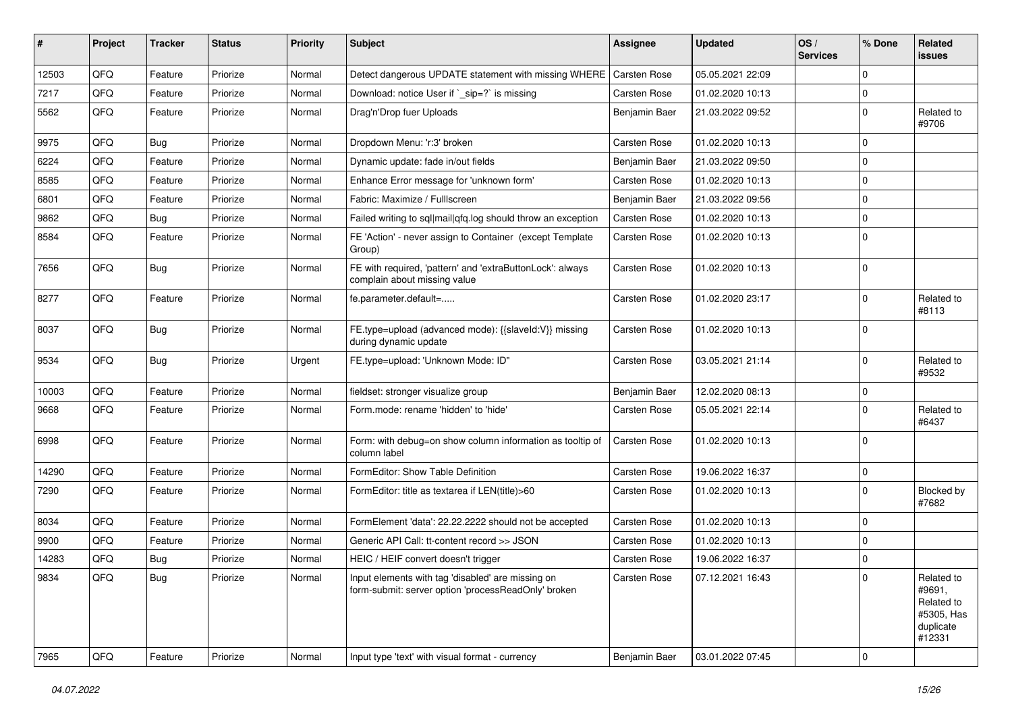| $\sharp$ | Project | <b>Tracker</b> | <b>Status</b> | <b>Priority</b> | <b>Subject</b>                                                                                           | <b>Assignee</b>     | <b>Updated</b>   | OS/<br><b>Services</b> | % Done      | Related<br><b>issues</b>                                                |
|----------|---------|----------------|---------------|-----------------|----------------------------------------------------------------------------------------------------------|---------------------|------------------|------------------------|-------------|-------------------------------------------------------------------------|
| 12503    | QFQ     | Feature        | Priorize      | Normal          | Detect dangerous UPDATE statement with missing WHERE                                                     | <b>Carsten Rose</b> | 05.05.2021 22:09 |                        | $\Omega$    |                                                                         |
| 7217     | QFQ     | Feature        | Priorize      | Normal          | Download: notice User if `_sip=?` is missing                                                             | Carsten Rose        | 01.02.2020 10:13 |                        | 0           |                                                                         |
| 5562     | QFQ     | Feature        | Priorize      | Normal          | Drag'n'Drop fuer Uploads                                                                                 | Benjamin Baer       | 21.03.2022 09:52 |                        | $\Omega$    | Related to<br>#9706                                                     |
| 9975     | QFQ     | Bug            | Priorize      | Normal          | Dropdown Menu: 'r:3' broken                                                                              | Carsten Rose        | 01.02.2020 10:13 |                        | $\mathbf 0$ |                                                                         |
| 6224     | QFQ     | Feature        | Priorize      | Normal          | Dynamic update: fade in/out fields                                                                       | Benjamin Baer       | 21.03.2022 09:50 |                        | $\mathbf 0$ |                                                                         |
| 8585     | QFQ     | Feature        | Priorize      | Normal          | Enhance Error message for 'unknown form'                                                                 | Carsten Rose        | 01.02.2020 10:13 |                        | $\mathbf 0$ |                                                                         |
| 6801     | QFQ     | Feature        | Priorize      | Normal          | Fabric: Maximize / FullIscreen                                                                           | Benjamin Baer       | 21.03.2022 09:56 |                        | $\mathbf 0$ |                                                                         |
| 9862     | QFQ     | <b>Bug</b>     | Priorize      | Normal          | Failed writing to sql mail qfq.log should throw an exception                                             | Carsten Rose        | 01.02.2020 10:13 |                        | $\Omega$    |                                                                         |
| 8584     | QFQ     | Feature        | Priorize      | Normal          | FE 'Action' - never assign to Container (except Template<br>Group)                                       | Carsten Rose        | 01.02.2020 10:13 |                        | $\Omega$    |                                                                         |
| 7656     | QFQ     | <b>Bug</b>     | Priorize      | Normal          | FE with required, 'pattern' and 'extraButtonLock': always<br>complain about missing value                | Carsten Rose        | 01.02.2020 10:13 |                        | $\mathbf 0$ |                                                                         |
| 8277     | QFQ     | Feature        | Priorize      | Normal          | fe.parameter.default=                                                                                    | Carsten Rose        | 01.02.2020 23:17 |                        | $\Omega$    | Related to<br>#8113                                                     |
| 8037     | QFQ     | Bug            | Priorize      | Normal          | FE.type=upload (advanced mode): {{slaveId:V}} missing<br>during dynamic update                           | Carsten Rose        | 01.02.2020 10:13 |                        | $\Omega$    |                                                                         |
| 9534     | QFQ     | Bug            | Priorize      | Urgent          | FE.type=upload: 'Unknown Mode: ID"                                                                       | Carsten Rose        | 03.05.2021 21:14 |                        | $\Omega$    | Related to<br>#9532                                                     |
| 10003    | QFQ     | Feature        | Priorize      | Normal          | fieldset: stronger visualize group                                                                       | Benjamin Baer       | 12.02.2020 08:13 |                        | $\mathbf 0$ |                                                                         |
| 9668     | QFQ     | Feature        | Priorize      | Normal          | Form.mode: rename 'hidden' to 'hide'                                                                     | Carsten Rose        | 05.05.2021 22:14 |                        | $\Omega$    | Related to<br>#6437                                                     |
| 6998     | QFQ     | Feature        | Priorize      | Normal          | Form: with debug=on show column information as tooltip of<br>column label                                | Carsten Rose        | 01.02.2020 10:13 |                        | $\Omega$    |                                                                         |
| 14290    | QFQ     | Feature        | Priorize      | Normal          | FormEditor: Show Table Definition                                                                        | Carsten Rose        | 19.06.2022 16:37 |                        | $\mathbf 0$ |                                                                         |
| 7290     | QFQ     | Feature        | Priorize      | Normal          | FormEditor: title as textarea if LEN(title)>60                                                           | Carsten Rose        | 01.02.2020 10:13 |                        | $\Omega$    | Blocked by<br>#7682                                                     |
| 8034     | QFQ     | Feature        | Priorize      | Normal          | FormElement 'data': 22.22.2222 should not be accepted                                                    | Carsten Rose        | 01.02.2020 10:13 |                        | $\Omega$    |                                                                         |
| 9900     | QFQ     | Feature        | Priorize      | Normal          | Generic API Call: tt-content record >> JSON                                                              | Carsten Rose        | 01.02.2020 10:13 |                        | $\mathbf 0$ |                                                                         |
| 14283    | QFQ     | Bug            | Priorize      | Normal          | HEIC / HEIF convert doesn't trigger                                                                      | Carsten Rose        | 19.06.2022 16:37 |                        | $\mathbf 0$ |                                                                         |
| 9834     | QFQ     | <b>Bug</b>     | Priorize      | Normal          | Input elements with tag 'disabled' are missing on<br>form-submit: server option 'processReadOnly' broken | Carsten Rose        | 07.12.2021 16:43 |                        | 0           | Related to<br>#9691,<br>Related to<br>#5305, Has<br>duplicate<br>#12331 |
| 7965     | QFG     | Feature        | Priorize      | Normal          | Input type 'text' with visual format - currency                                                          | Benjamin Baer       | 03.01.2022 07:45 |                        | 0           |                                                                         |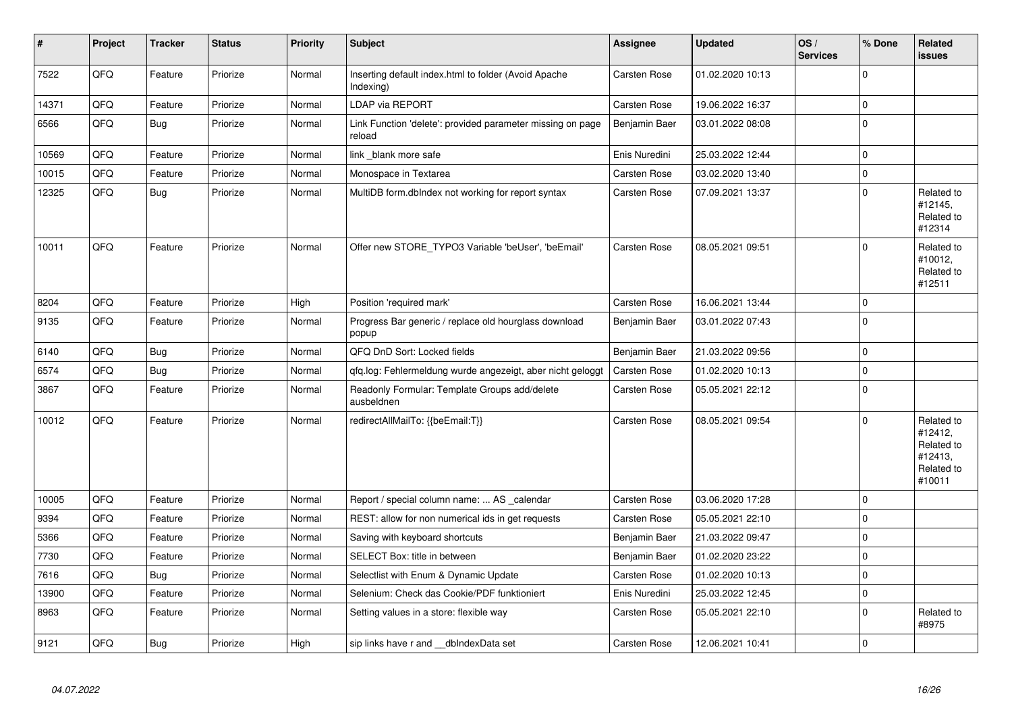| $\pmb{\sharp}$ | Project | <b>Tracker</b> | <b>Status</b> | <b>Priority</b> | Subject                                                              | Assignee            | <b>Updated</b>   | OS/<br><b>Services</b> | % Done         | Related<br><b>issues</b>                                               |
|----------------|---------|----------------|---------------|-----------------|----------------------------------------------------------------------|---------------------|------------------|------------------------|----------------|------------------------------------------------------------------------|
| 7522           | QFQ     | Feature        | Priorize      | Normal          | Inserting default index.html to folder (Avoid Apache<br>Indexing)    | <b>Carsten Rose</b> | 01.02.2020 10:13 |                        | $\Omega$       |                                                                        |
| 14371          | QFQ     | Feature        | Priorize      | Normal          | <b>LDAP via REPORT</b>                                               | Carsten Rose        | 19.06.2022 16:37 |                        | $\overline{0}$ |                                                                        |
| 6566           | QFQ     | <b>Bug</b>     | Priorize      | Normal          | Link Function 'delete': provided parameter missing on page<br>reload | Benjamin Baer       | 03.01.2022 08:08 |                        | $\mathbf 0$    |                                                                        |
| 10569          | QFQ     | Feature        | Priorize      | Normal          | link _blank more safe                                                | Enis Nuredini       | 25.03.2022 12:44 |                        | $\mathbf 0$    |                                                                        |
| 10015          | QFQ     | Feature        | Priorize      | Normal          | Monospace in Textarea                                                | Carsten Rose        | 03.02.2020 13:40 |                        | $\mathbf 0$    |                                                                        |
| 12325          | QFQ     | Bug            | Priorize      | Normal          | MultiDB form.dblndex not working for report syntax                   | Carsten Rose        | 07.09.2021 13:37 |                        | $\Omega$       | Related to<br>#12145,<br>Related to<br>#12314                          |
| 10011          | QFQ     | Feature        | Priorize      | Normal          | Offer new STORE_TYPO3 Variable 'beUser', 'beEmail'                   | Carsten Rose        | 08.05.2021 09:51 |                        | $\Omega$       | Related to<br>#10012,<br>Related to<br>#12511                          |
| 8204           | QFQ     | Feature        | Priorize      | High            | Position 'required mark'                                             | Carsten Rose        | 16.06.2021 13:44 |                        | $\mathbf 0$    |                                                                        |
| 9135           | QFQ     | Feature        | Priorize      | Normal          | Progress Bar generic / replace old hourglass download<br>popup       | Benjamin Baer       | 03.01.2022 07:43 |                        | $\Omega$       |                                                                        |
| 6140           | QFQ     | <b>Bug</b>     | Priorize      | Normal          | QFQ DnD Sort: Locked fields                                          | Benjamin Baer       | 21.03.2022 09:56 |                        | $\mathbf 0$    |                                                                        |
| 6574           | QFQ     | <b>Bug</b>     | Priorize      | Normal          | qfq.log: Fehlermeldung wurde angezeigt, aber nicht geloggt           | Carsten Rose        | 01.02.2020 10:13 |                        | $\mathbf 0$    |                                                                        |
| 3867           | QFQ     | Feature        | Priorize      | Normal          | Readonly Formular: Template Groups add/delete<br>ausbeldnen          | Carsten Rose        | 05.05.2021 22:12 |                        | $\Omega$       |                                                                        |
| 10012          | QFQ     | Feature        | Priorize      | Normal          | redirectAllMailTo: {{beEmail:T}}                                     | Carsten Rose        | 08.05.2021 09:54 |                        | $\Omega$       | Related to<br>#12412,<br>Related to<br>#12413,<br>Related to<br>#10011 |
| 10005          | QFQ     | Feature        | Priorize      | Normal          | Report / special column name:  AS _calendar                          | Carsten Rose        | 03.06.2020 17:28 |                        | $\Omega$       |                                                                        |
| 9394           | QFQ     | Feature        | Priorize      | Normal          | REST: allow for non numerical ids in get requests                    | Carsten Rose        | 05.05.2021 22:10 |                        | $\mathbf 0$    |                                                                        |
| 5366           | QFQ     | Feature        | Priorize      | Normal          | Saving with keyboard shortcuts                                       | Benjamin Baer       | 21.03.2022 09:47 |                        | $\Omega$       |                                                                        |
| 7730           | QFQ     | Feature        | Priorize      | Normal          | SELECT Box: title in between                                         | Benjamin Baer       | 01.02.2020 23:22 |                        | $\mathbf 0$    |                                                                        |
| 7616           | QFQ     | Bug            | Priorize      | Normal          | Selectlist with Enum & Dynamic Update                                | Carsten Rose        | 01.02.2020 10:13 |                        | $\mathbf 0$    |                                                                        |
| 13900          | QFQ     | Feature        | Priorize      | Normal          | Selenium: Check das Cookie/PDF funktioniert                          | Enis Nuredini       | 25.03.2022 12:45 |                        | $\Omega$       |                                                                        |
| 8963           | QFQ     | Feature        | Priorize      | Normal          | Setting values in a store: flexible way                              | Carsten Rose        | 05.05.2021 22:10 |                        | $\Omega$       | Related to<br>#8975                                                    |
| 9121           | QFQ     | <b>Bug</b>     | Priorize      | High            | sip links have r and __dbIndexData set                               | Carsten Rose        | 12.06.2021 10:41 |                        | $\mathbf 0$    |                                                                        |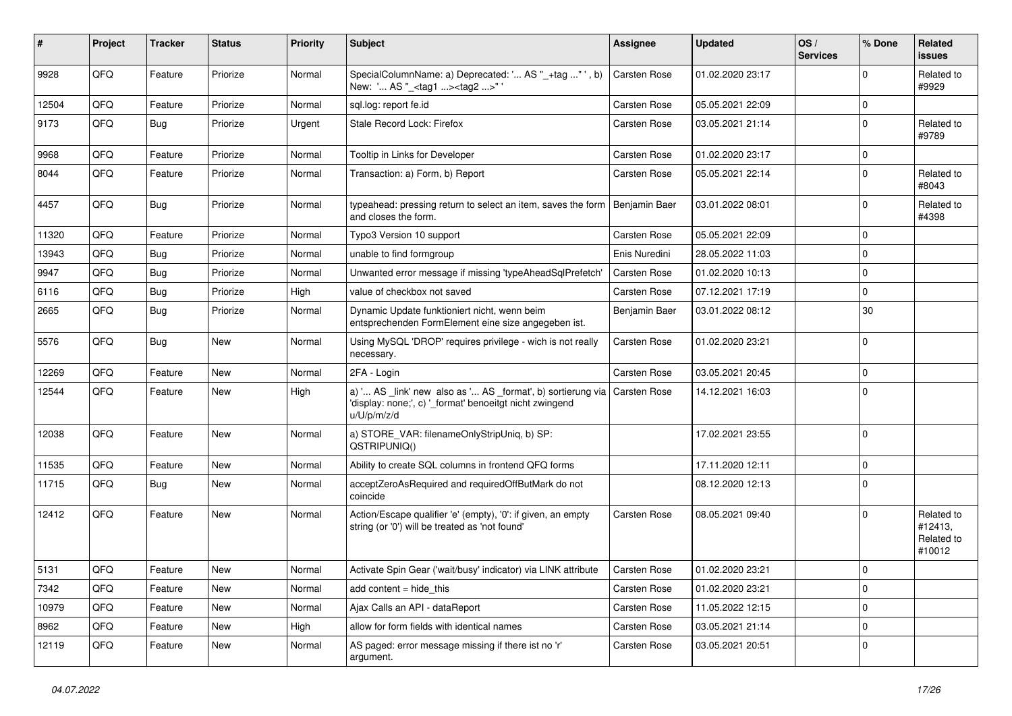| ∦     | Project | <b>Tracker</b> | <b>Status</b> | <b>Priority</b> | <b>Subject</b>                                                                                                                        | Assignee            | <b>Updated</b>   | OS/<br><b>Services</b> | % Done      | Related<br><b>issues</b>                      |
|-------|---------|----------------|---------------|-----------------|---------------------------------------------------------------------------------------------------------------------------------------|---------------------|------------------|------------------------|-------------|-----------------------------------------------|
| 9928  | QFQ     | Feature        | Priorize      | Normal          | SpecialColumnName: a) Deprecated: ' AS "_+tag " ', b)<br>New: ' AS "_ <tag1><tag2>"'</tag2></tag1>                                    | <b>Carsten Rose</b> | 01.02.2020 23:17 |                        | $\Omega$    | Related to<br>#9929                           |
| 12504 | QFQ     | Feature        | Priorize      | Normal          | sql.log: report fe.id                                                                                                                 | <b>Carsten Rose</b> | 05.05.2021 22:09 |                        | $\mathbf 0$ |                                               |
| 9173  | QFQ     | Bug            | Priorize      | Urgent          | Stale Record Lock: Firefox                                                                                                            | Carsten Rose        | 03.05.2021 21:14 |                        | $\Omega$    | Related to<br>#9789                           |
| 9968  | QFQ     | Feature        | Priorize      | Normal          | Tooltip in Links for Developer                                                                                                        | Carsten Rose        | 01.02.2020 23:17 |                        | $\mathbf 0$ |                                               |
| 8044  | QFQ     | Feature        | Priorize      | Normal          | Transaction: a) Form, b) Report                                                                                                       | Carsten Rose        | 05.05.2021 22:14 |                        | $\Omega$    | Related to<br>#8043                           |
| 4457  | QFQ     | Bug            | Priorize      | Normal          | typeahead: pressing return to select an item, saves the form<br>and closes the form.                                                  | Benjamin Baer       | 03.01.2022 08:01 |                        | 0           | Related to<br>#4398                           |
| 11320 | QFQ     | Feature        | Priorize      | Normal          | Typo3 Version 10 support                                                                                                              | Carsten Rose        | 05.05.2021 22:09 |                        | $\Omega$    |                                               |
| 13943 | QFQ     | Bug            | Priorize      | Normal          | unable to find formgroup                                                                                                              | Enis Nuredini       | 28.05.2022 11:03 |                        | $\Omega$    |                                               |
| 9947  | QFQ     | Bug            | Priorize      | Normal          | Unwanted error message if missing 'typeAheadSqlPrefetch'                                                                              | Carsten Rose        | 01.02.2020 10:13 |                        | $\Omega$    |                                               |
| 6116  | QFQ     | <b>Bug</b>     | Priorize      | High            | value of checkbox not saved                                                                                                           | Carsten Rose        | 07.12.2021 17:19 |                        | $\mathbf 0$ |                                               |
| 2665  | QFQ     | Bug            | Priorize      | Normal          | Dynamic Update funktioniert nicht, wenn beim<br>entsprechenden FormElement eine size angegeben ist.                                   | Benjamin Baer       | 03.01.2022 08:12 |                        | 30          |                                               |
| 5576  | QFQ     | Bug            | <b>New</b>    | Normal          | Using MySQL 'DROP' requires privilege - wich is not really<br>necessary.                                                              | Carsten Rose        | 01.02.2020 23:21 |                        | $\mathbf 0$ |                                               |
| 12269 | QFQ     | Feature        | <b>New</b>    | Normal          | 2FA - Login                                                                                                                           | Carsten Rose        | 03.05.2021 20:45 |                        | $\Omega$    |                                               |
| 12544 | QFQ     | Feature        | New           | High            | a) ' AS _link' new also as ' AS _format', b) sortierung via<br>'display: none;', c) '_format' benoeitgt nicht zwingend<br>u/U/p/m/z/d | <b>Carsten Rose</b> | 14.12.2021 16:03 |                        | $\mathbf 0$ |                                               |
| 12038 | QFQ     | Feature        | <b>New</b>    | Normal          | a) STORE_VAR: filenameOnlyStripUniq, b) SP:<br>QSTRIPUNIQ()                                                                           |                     | 17.02.2021 23:55 |                        | $\mathbf 0$ |                                               |
| 11535 | QFQ     | Feature        | <b>New</b>    | Normal          | Ability to create SQL columns in frontend QFQ forms                                                                                   |                     | 17.11.2020 12:11 |                        | $\mathbf 0$ |                                               |
| 11715 | QFQ     | Bug            | <b>New</b>    | Normal          | acceptZeroAsRequired and requiredOffButMark do not<br>coincide                                                                        |                     | 08.12.2020 12:13 |                        | $\Omega$    |                                               |
| 12412 | QFQ     | Feature        | <b>New</b>    | Normal          | Action/Escape qualifier 'e' (empty), '0': if given, an empty<br>string (or '0') will be treated as 'not found'                        | Carsten Rose        | 08.05.2021 09:40 |                        | $\Omega$    | Related to<br>#12413,<br>Related to<br>#10012 |
| 5131  | QFG     | Feature        | New           | Normal          | Activate Spin Gear ('wait/busy' indicator) via LINK attribute                                                                         | Carsten Rose        | 01.02.2020 23:21 |                        | $\mathbf 0$ |                                               |
| 7342  | QFQ     | Feature        | New           | Normal          | add content $=$ hide this                                                                                                             | Carsten Rose        | 01.02.2020 23:21 |                        | $\mathbf 0$ |                                               |
| 10979 | QFQ     | Feature        | New           | Normal          | Ajax Calls an API - dataReport                                                                                                        | Carsten Rose        | 11.05.2022 12:15 |                        | $\mathbf 0$ |                                               |
| 8962  | QFQ     | Feature        | New           | High            | allow for form fields with identical names                                                                                            | Carsten Rose        | 03.05.2021 21:14 |                        | 0           |                                               |
| 12119 | QFQ     | Feature        | New           | Normal          | AS paged: error message missing if there ist no 'r'<br>argument.                                                                      | Carsten Rose        | 03.05.2021 20:51 |                        | 0           |                                               |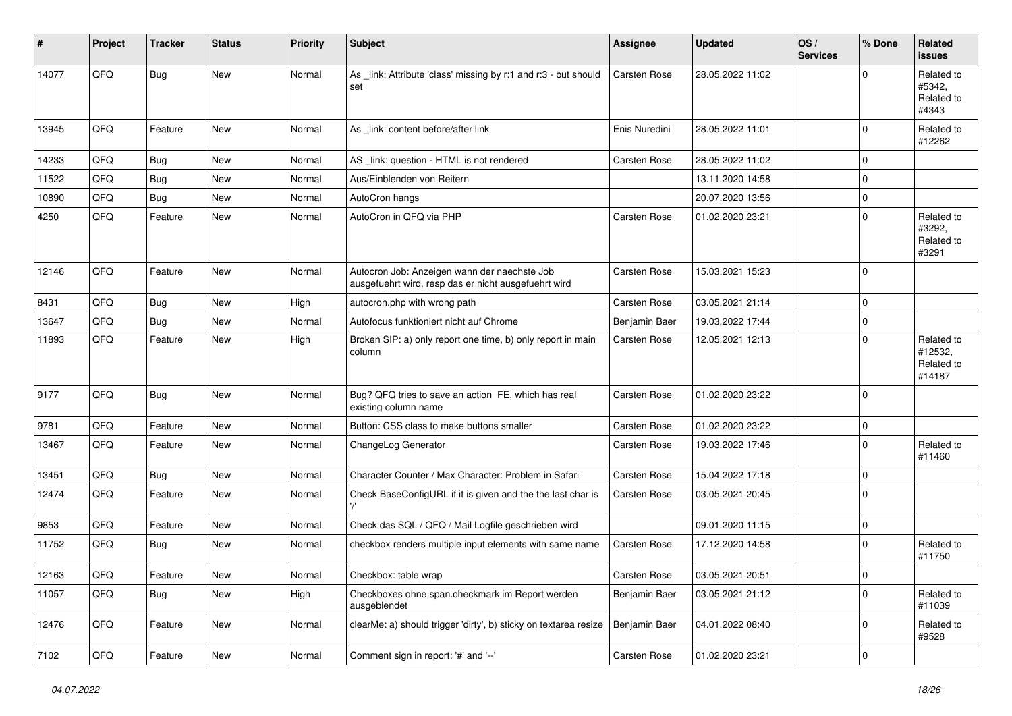| #     | Project | <b>Tracker</b> | <b>Status</b> | <b>Priority</b> | Subject                                                                                              | <b>Assignee</b> | <b>Updated</b>   | OS/<br><b>Services</b> | % Done      | Related<br><b>issues</b>                      |
|-------|---------|----------------|---------------|-----------------|------------------------------------------------------------------------------------------------------|-----------------|------------------|------------------------|-------------|-----------------------------------------------|
| 14077 | QFQ     | <b>Bug</b>     | New           | Normal          | As _link: Attribute 'class' missing by r:1 and r:3 - but should<br>set                               | Carsten Rose    | 28.05.2022 11:02 |                        | $\Omega$    | Related to<br>#5342,<br>Related to<br>#4343   |
| 13945 | QFQ     | Feature        | New           | Normal          | As _link: content before/after link                                                                  | Enis Nuredini   | 28.05.2022 11:01 |                        | $\mathbf 0$ | Related to<br>#12262                          |
| 14233 | QFQ     | Bug            | New           | Normal          | AS_link: question - HTML is not rendered                                                             | Carsten Rose    | 28.05.2022 11:02 |                        | $\mathbf 0$ |                                               |
| 11522 | QFQ     | Bug            | <b>New</b>    | Normal          | Aus/Einblenden von Reitern                                                                           |                 | 13.11.2020 14:58 |                        | $\mathbf 0$ |                                               |
| 10890 | QFQ     | Bug            | <b>New</b>    | Normal          | AutoCron hangs                                                                                       |                 | 20.07.2020 13:56 |                        | $\mathbf 0$ |                                               |
| 4250  | QFQ     | Feature        | New           | Normal          | AutoCron in QFQ via PHP                                                                              | Carsten Rose    | 01.02.2020 23:21 |                        | $\mathbf 0$ | Related to<br>#3292,<br>Related to<br>#3291   |
| 12146 | QFQ     | Feature        | <b>New</b>    | Normal          | Autocron Job: Anzeigen wann der naechste Job<br>ausgefuehrt wird, resp das er nicht ausgefuehrt wird | Carsten Rose    | 15.03.2021 15:23 |                        | $\Omega$    |                                               |
| 8431  | QFQ     | Bug            | New           | High            | autocron.php with wrong path                                                                         | Carsten Rose    | 03.05.2021 21:14 |                        | $\mathbf 0$ |                                               |
| 13647 | QFQ     | <b>Bug</b>     | <b>New</b>    | Normal          | Autofocus funktioniert nicht auf Chrome                                                              | Benjamin Baer   | 19.03.2022 17:44 |                        | $\mathbf 0$ |                                               |
| 11893 | QFQ     | Feature        | <b>New</b>    | High            | Broken SIP: a) only report one time, b) only report in main<br>column                                | Carsten Rose    | 12.05.2021 12:13 |                        | $\Omega$    | Related to<br>#12532,<br>Related to<br>#14187 |
| 9177  | QFQ     | Bug            | <b>New</b>    | Normal          | Bug? QFQ tries to save an action FE, which has real<br>existing column name                          | Carsten Rose    | 01.02.2020 23:22 |                        | $\Omega$    |                                               |
| 9781  | QFQ     | Feature        | <b>New</b>    | Normal          | Button: CSS class to make buttons smaller                                                            | Carsten Rose    | 01.02.2020 23:22 |                        | 0           |                                               |
| 13467 | QFQ     | Feature        | <b>New</b>    | Normal          | ChangeLog Generator                                                                                  | Carsten Rose    | 19.03.2022 17:46 |                        | $\mathbf 0$ | Related to<br>#11460                          |
| 13451 | QFQ     | Bug            | New           | Normal          | Character Counter / Max Character: Problem in Safari                                                 | Carsten Rose    | 15.04.2022 17:18 |                        | $\mathbf 0$ |                                               |
| 12474 | QFQ     | Feature        | New           | Normal          | Check BaseConfigURL if it is given and the the last char is                                          | Carsten Rose    | 03.05.2021 20:45 |                        | $\mathbf 0$ |                                               |
| 9853  | QFQ     | Feature        | New           | Normal          | Check das SQL / QFQ / Mail Logfile geschrieben wird                                                  |                 | 09.01.2020 11:15 |                        | 0           |                                               |
| 11752 | QFQ     | Bug            | New           | Normal          | checkbox renders multiple input elements with same name                                              | Carsten Rose    | 17.12.2020 14:58 |                        | $\mathbf 0$ | Related to<br>#11750                          |
| 12163 | QFQ     | Feature        | New           | Normal          | Checkbox: table wrap                                                                                 | Carsten Rose    | 03.05.2021 20:51 |                        | $\mathbf 0$ |                                               |
| 11057 | QFQ     | Bug            | New           | High            | Checkboxes ohne span.checkmark im Report werden<br>ausgeblendet                                      | Benjamin Baer   | 03.05.2021 21:12 |                        | $\mathbf 0$ | Related to<br>#11039                          |
| 12476 | QFG     | Feature        | New           | Normal          | clearMe: a) should trigger 'dirty', b) sticky on textarea resize                                     | Benjamin Baer   | 04.01.2022 08:40 |                        | $\mathbf 0$ | Related to<br>#9528                           |
| 7102  | QFQ     | Feature        | New           | Normal          | Comment sign in report: '#' and '--'                                                                 | Carsten Rose    | 01.02.2020 23:21 |                        | $\mathbf 0$ |                                               |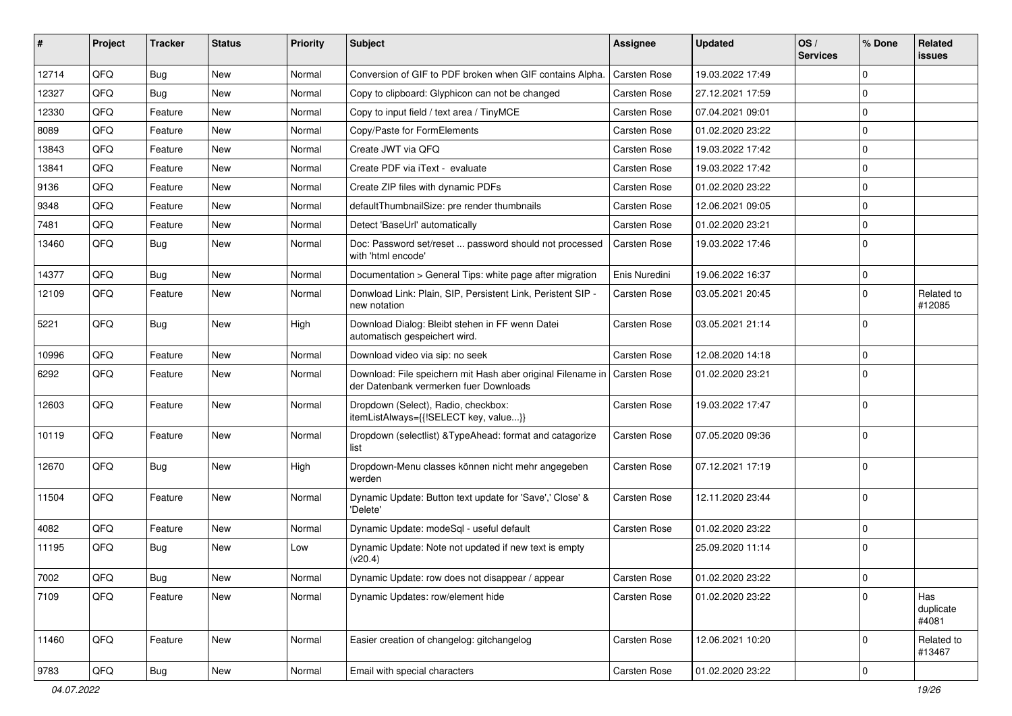| #     | Project | <b>Tracker</b> | <b>Status</b> | <b>Priority</b> | Subject                                                                                                              | <b>Assignee</b>     | <b>Updated</b>   | OS/<br><b>Services</b> | % Done         | Related<br><b>issues</b>  |
|-------|---------|----------------|---------------|-----------------|----------------------------------------------------------------------------------------------------------------------|---------------------|------------------|------------------------|----------------|---------------------------|
| 12714 | QFQ     | Bug            | <b>New</b>    | Normal          | Conversion of GIF to PDF broken when GIF contains Alpha.                                                             | <b>Carsten Rose</b> | 19.03.2022 17:49 |                        | $\Omega$       |                           |
| 12327 | QFQ     | Bug            | New           | Normal          | Copy to clipboard: Glyphicon can not be changed                                                                      | <b>Carsten Rose</b> | 27.12.2021 17:59 |                        | $\mathbf 0$    |                           |
| 12330 | QFQ     | Feature        | <b>New</b>    | Normal          | Copy to input field / text area / TinyMCE                                                                            | <b>Carsten Rose</b> | 07.04.2021 09:01 |                        | $\Omega$       |                           |
| 8089  | QFQ     | Feature        | <b>New</b>    | Normal          | Copy/Paste for FormElements                                                                                          | <b>Carsten Rose</b> | 01.02.2020 23:22 |                        | $\mathbf 0$    |                           |
| 13843 | QFQ     | Feature        | <b>New</b>    | Normal          | Create JWT via QFQ                                                                                                   | Carsten Rose        | 19.03.2022 17:42 |                        | $\mathbf 0$    |                           |
| 13841 | QFQ     | Feature        | <b>New</b>    | Normal          | Create PDF via iText - evaluate                                                                                      | <b>Carsten Rose</b> | 19.03.2022 17:42 |                        | $\Omega$       |                           |
| 9136  | QFQ     | Feature        | New           | Normal          | Create ZIP files with dynamic PDFs                                                                                   | <b>Carsten Rose</b> | 01.02.2020 23:22 |                        | $\Omega$       |                           |
| 9348  | QFQ     | Feature        | New           | Normal          | defaultThumbnailSize: pre render thumbnails                                                                          | <b>Carsten Rose</b> | 12.06.2021 09:05 |                        | $\Omega$       |                           |
| 7481  | QFQ     | Feature        | <b>New</b>    | Normal          | Detect 'BaseUrl' automatically                                                                                       | <b>Carsten Rose</b> | 01.02.2020 23:21 |                        | $\mathbf 0$    |                           |
| 13460 | QFQ     | Bug            | <b>New</b>    | Normal          | Doc: Password set/reset  password should not processed<br>with 'html encode'                                         | <b>Carsten Rose</b> | 19.03.2022 17:46 |                        | $\Omega$       |                           |
| 14377 | QFQ     | Bug            | <b>New</b>    | Normal          | Documentation > General Tips: white page after migration                                                             | Enis Nuredini       | 19.06.2022 16:37 |                        | $\mathbf 0$    |                           |
| 12109 | QFQ     | Feature        | New           | Normal          | Donwload Link: Plain, SIP, Persistent Link, Peristent SIP -<br>new notation                                          | <b>Carsten Rose</b> | 03.05.2021 20:45 |                        | 0              | Related to<br>#12085      |
| 5221  | QFQ     | Bug            | New           | High            | Download Dialog: Bleibt stehen in FF wenn Datei<br>automatisch gespeichert wird.                                     | <b>Carsten Rose</b> | 03.05.2021 21:14 |                        | $\Omega$       |                           |
| 10996 | QFQ     | Feature        | <b>New</b>    | Normal          | Download video via sip: no seek                                                                                      | <b>Carsten Rose</b> | 12.08.2020 14:18 |                        | $\mathbf 0$    |                           |
| 6292  | QFQ     | Feature        | New           | Normal          | Download: File speichern mit Hash aber original Filename in   Carsten Rose<br>der Datenbank vermerken fuer Downloads |                     | 01.02.2020 23:21 |                        | $\mathbf 0$    |                           |
| 12603 | QFQ     | Feature        | <b>New</b>    | Normal          | Dropdown (Select), Radio, checkbox:<br>itemListAlways={{!SELECT key, value}}                                         | <b>Carsten Rose</b> | 19.03.2022 17:47 |                        | $\mathbf 0$    |                           |
| 10119 | QFQ     | Feature        | <b>New</b>    | Normal          | Dropdown (selectlist) & TypeAhead: format and catagorize<br>list                                                     | <b>Carsten Rose</b> | 07.05.2020 09:36 |                        | $\mathbf 0$    |                           |
| 12670 | QFQ     | <b>Bug</b>     | <b>New</b>    | High            | Dropdown-Menu classes können nicht mehr angegeben<br>werden                                                          | <b>Carsten Rose</b> | 07.12.2021 17:19 |                        | $\Omega$       |                           |
| 11504 | QFQ     | Feature        | <b>New</b>    | Normal          | Dynamic Update: Button text update for 'Save',' Close' &<br>'Delete'                                                 | <b>Carsten Rose</b> | 12.11.2020 23:44 |                        | $\Omega$       |                           |
| 4082  | QFQ     | Feature        | <b>New</b>    | Normal          | Dynamic Update: modeSql - useful default                                                                             | <b>Carsten Rose</b> | 01.02.2020 23:22 |                        | $\mathbf 0$    |                           |
| 11195 | QFQ     | Bug            | New           | Low             | Dynamic Update: Note not updated if new text is empty<br>(v20.4)                                                     |                     | 25.09.2020 11:14 |                        | $\mathbf 0$    |                           |
| 7002  | QFQ     | Bug            | New           | Normal          | Dynamic Update: row does not disappear / appear                                                                      | Carsten Rose        | 01.02.2020 23:22 |                        | 0              |                           |
| 7109  | QFQ     | Feature        | New           | Normal          | Dynamic Updates: row/element hide                                                                                    | Carsten Rose        | 01.02.2020 23:22 |                        | $\mathbf 0$    | Has<br>duplicate<br>#4081 |
| 11460 | QFQ     | Feature        | New           | Normal          | Easier creation of changelog: gitchangelog                                                                           | Carsten Rose        | 12.06.2021 10:20 |                        | 0              | Related to<br>#13467      |
| 9783  | QFG     | <b>Bug</b>     | New           | Normal          | Email with special characters                                                                                        | Carsten Rose        | 01.02.2020 23:22 |                        | $\overline{0}$ |                           |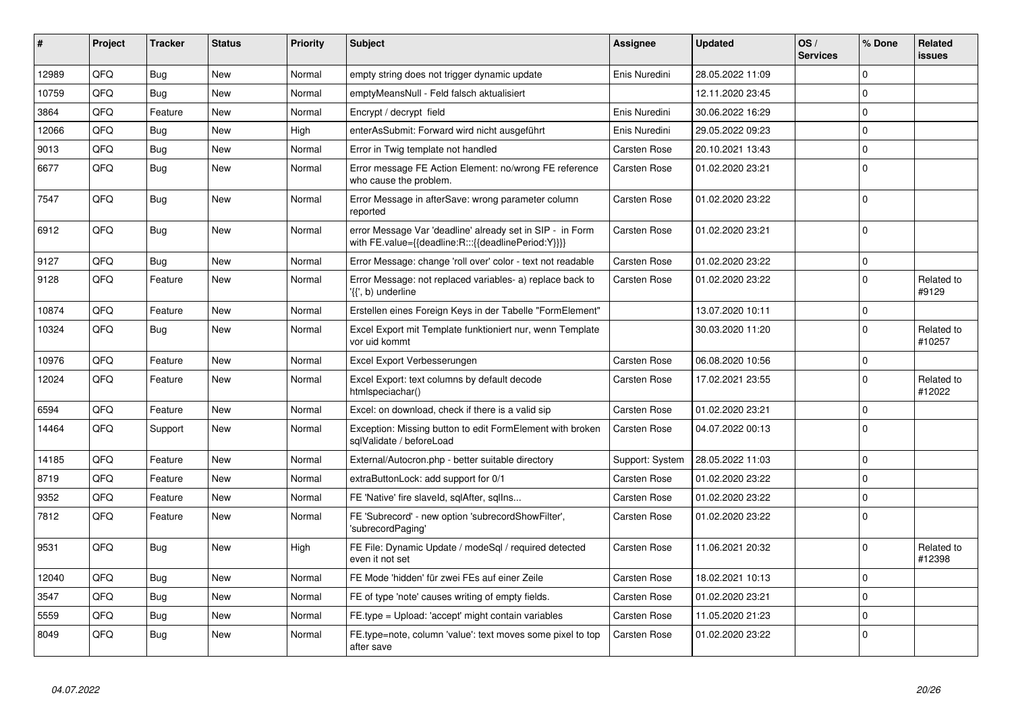| ∦     | <b>Project</b> | <b>Tracker</b> | <b>Status</b> | <b>Priority</b> | <b>Subject</b>                                                                                                   | Assignee            | <b>Updated</b>   | OS/<br><b>Services</b> | % Done         | Related<br><b>issues</b> |
|-------|----------------|----------------|---------------|-----------------|------------------------------------------------------------------------------------------------------------------|---------------------|------------------|------------------------|----------------|--------------------------|
| 12989 | QFQ            | Bug            | <b>New</b>    | Normal          | empty string does not trigger dynamic update                                                                     | Enis Nuredini       | 28.05.2022 11:09 |                        | $\Omega$       |                          |
| 10759 | QFQ            | Bug            | New           | Normal          | emptyMeansNull - Feld falsch aktualisiert                                                                        |                     | 12.11.2020 23:45 |                        | $\Omega$       |                          |
| 3864  | QFQ            | Feature        | <b>New</b>    | Normal          | Encrypt / decrypt field                                                                                          | Enis Nuredini       | 30.06.2022 16:29 |                        | $\mathbf 0$    |                          |
| 12066 | QFQ            | Bug            | <b>New</b>    | High            | enterAsSubmit: Forward wird nicht ausgeführt                                                                     | Enis Nuredini       | 29.05.2022 09:23 |                        | $\Omega$       |                          |
| 9013  | QFQ            | Bug            | New           | Normal          | Error in Twig template not handled                                                                               | Carsten Rose        | 20.10.2021 13:43 |                        | $\Omega$       |                          |
| 6677  | QFQ            | Bug            | New           | Normal          | Error message FE Action Element: no/wrong FE reference<br>who cause the problem.                                 | Carsten Rose        | 01.02.2020 23:21 |                        | $\overline{0}$ |                          |
| 7547  | QFQ            | Bug            | New           | Normal          | Error Message in afterSave: wrong parameter column<br>reported                                                   | <b>Carsten Rose</b> | 01.02.2020 23:22 |                        | $\Omega$       |                          |
| 6912  | QFQ            | Bug            | <b>New</b>    | Normal          | error Message Var 'deadline' already set in SIP - in Form<br>with FE.value={{deadline:R:::{{deadlinePeriod:Y}}}} | <b>Carsten Rose</b> | 01.02.2020 23:21 |                        | $\Omega$       |                          |
| 9127  | QFQ            | Bug            | <b>New</b>    | Normal          | Error Message: change 'roll over' color - text not readable                                                      | Carsten Rose        | 01.02.2020 23:22 |                        | $\overline{0}$ |                          |
| 9128  | QFQ            | Feature        | New           | Normal          | Error Message: not replaced variables- a) replace back to<br>'{{', b) underline                                  | Carsten Rose        | 01.02.2020 23:22 |                        | $\Omega$       | Related to<br>#9129      |
| 10874 | QFQ            | Feature        | <b>New</b>    | Normal          | Erstellen eines Foreign Keys in der Tabelle "FormElement"                                                        |                     | 13.07.2020 10:11 |                        | $\overline{0}$ |                          |
| 10324 | QFQ            | Bug            | New           | Normal          | Excel Export mit Template funktioniert nur, wenn Template<br>vor uid kommt                                       |                     | 30.03.2020 11:20 |                        | $\Omega$       | Related to<br>#10257     |
| 10976 | QFQ            | Feature        | New           | Normal          | Excel Export Verbesserungen                                                                                      | Carsten Rose        | 06.08.2020 10:56 |                        | $\Omega$       |                          |
| 12024 | QFQ            | Feature        | New           | Normal          | Excel Export: text columns by default decode<br>htmlspeciachar()                                                 | <b>Carsten Rose</b> | 17.02.2021 23:55 |                        | $\Omega$       | Related to<br>#12022     |
| 6594  | QFQ            | Feature        | New           | Normal          | Excel: on download, check if there is a valid sip                                                                | Carsten Rose        | 01.02.2020 23:21 |                        | $\Omega$       |                          |
| 14464 | QFQ            | Support        | New           | Normal          | Exception: Missing button to edit FormElement with broken<br>sqlValidate / beforeLoad                            | <b>Carsten Rose</b> | 04.07.2022 00:13 |                        | $\Omega$       |                          |
| 14185 | QFQ            | Feature        | New           | Normal          | External/Autocron.php - better suitable directory                                                                | Support: System     | 28.05.2022 11:03 |                        | $\Omega$       |                          |
| 8719  | QFQ            | Feature        | New           | Normal          | extraButtonLock: add support for 0/1                                                                             | Carsten Rose        | 01.02.2020 23:22 |                        | $\Omega$       |                          |
| 9352  | QFQ            | Feature        | New           | Normal          | FE 'Native' fire slaveld, sqlAfter, sqlIns                                                                       | Carsten Rose        | 01.02.2020 23:22 |                        | $\mathbf 0$    |                          |
| 7812  | QFQ            | Feature        | New           | Normal          | FE 'Subrecord' - new option 'subrecordShowFilter',<br>'subrecordPaging'                                          | Carsten Rose        | 01.02.2020 23:22 |                        | $\Omega$       |                          |
| 9531  | QFQ            | Bug            | New           | High            | FE File: Dynamic Update / modeSql / required detected<br>even it not set                                         | Carsten Rose        | 11.06.2021 20:32 |                        | $\Omega$       | Related to<br>#12398     |
| 12040 | QFQ            | Bug            | <b>New</b>    | Normal          | FE Mode 'hidden' für zwei FEs auf einer Zeile                                                                    | Carsten Rose        | 18.02.2021 10:13 |                        | 0              |                          |
| 3547  | QFQ            | Bug            | <b>New</b>    | Normal          | FE of type 'note' causes writing of empty fields.                                                                | <b>Carsten Rose</b> | 01.02.2020 23:21 |                        | $\Omega$       |                          |
| 5559  | QFQ            | Bug            | New           | Normal          | FE.type = Upload: 'accept' might contain variables                                                               | <b>Carsten Rose</b> | 11.05.2020 21:23 |                        | $\Omega$       |                          |
| 8049  | QFQ            | Bug            | New           | Normal          | FE.type=note, column 'value': text moves some pixel to top<br>after save                                         | <b>Carsten Rose</b> | 01.02.2020 23:22 |                        | $\Omega$       |                          |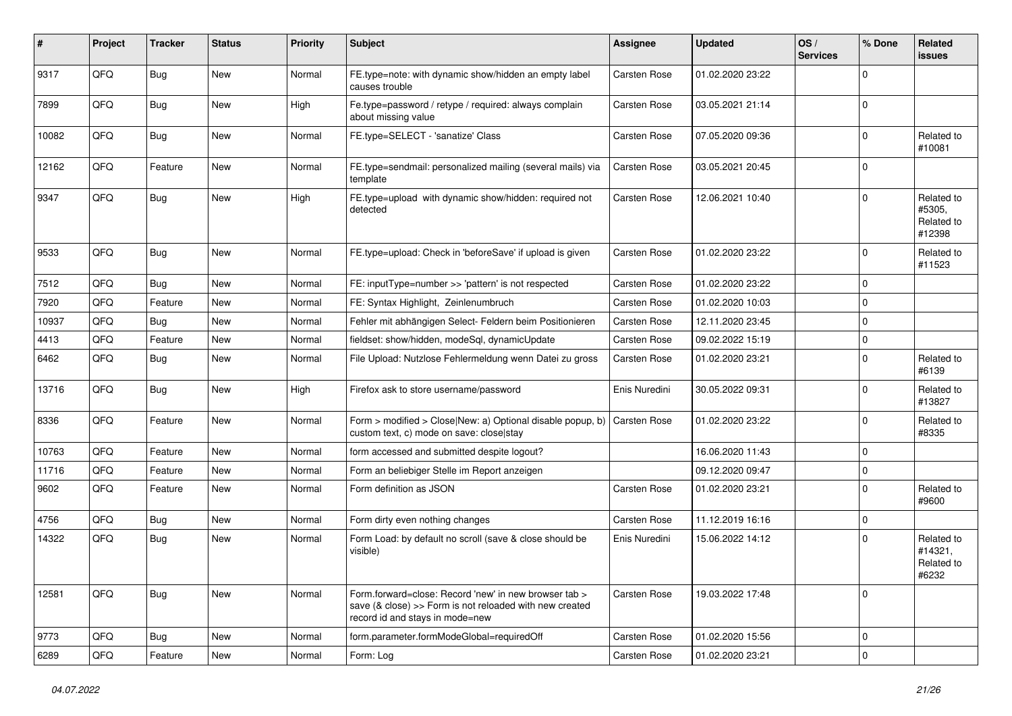| #     | Project | <b>Tracker</b> | <b>Status</b> | <b>Priority</b> | <b>Subject</b>                                                                                                                                      | Assignee            | <b>Updated</b>   | OS/<br><b>Services</b> | % Done      | Related<br><b>issues</b>                     |
|-------|---------|----------------|---------------|-----------------|-----------------------------------------------------------------------------------------------------------------------------------------------------|---------------------|------------------|------------------------|-------------|----------------------------------------------|
| 9317  | QFQ     | Bug            | New           | Normal          | FE.type=note: with dynamic show/hidden an empty label<br>causes trouble                                                                             | Carsten Rose        | 01.02.2020 23:22 |                        | $\mathbf 0$ |                                              |
| 7899  | QFQ     | <b>Bug</b>     | New           | High            | Fe.type=password / retype / required: always complain<br>about missing value                                                                        | Carsten Rose        | 03.05.2021 21:14 |                        | 0           |                                              |
| 10082 | QFQ     | Bug            | New           | Normal          | FE.type=SELECT - 'sanatize' Class                                                                                                                   | Carsten Rose        | 07.05.2020 09:36 |                        | $\Omega$    | Related to<br>#10081                         |
| 12162 | QFQ     | Feature        | New           | Normal          | FE.type=sendmail: personalized mailing (several mails) via<br>template                                                                              | Carsten Rose        | 03.05.2021 20:45 |                        | $\mathbf 0$ |                                              |
| 9347  | QFQ     | Bug            | New           | High            | FE.type=upload with dynamic show/hidden: required not<br>detected                                                                                   | Carsten Rose        | 12.06.2021 10:40 |                        | $\mathbf 0$ | Related to<br>#5305,<br>Related to<br>#12398 |
| 9533  | QFQ     | Bug            | <b>New</b>    | Normal          | FE.type=upload: Check in 'beforeSave' if upload is given                                                                                            | Carsten Rose        | 01.02.2020 23:22 |                        | $\Omega$    | Related to<br>#11523                         |
| 7512  | QFQ     | Bug            | <b>New</b>    | Normal          | FE: inputType=number >> 'pattern' is not respected                                                                                                  | Carsten Rose        | 01.02.2020 23:22 |                        | $\mathbf 0$ |                                              |
| 7920  | QFQ     | Feature        | New           | Normal          | FE: Syntax Highlight, Zeinlenumbruch                                                                                                                | Carsten Rose        | 01.02.2020 10:03 |                        | $\Omega$    |                                              |
| 10937 | QFQ     | Bug            | New           | Normal          | Fehler mit abhängigen Select- Feldern beim Positionieren                                                                                            | Carsten Rose        | 12.11.2020 23:45 |                        | $\mathbf 0$ |                                              |
| 4413  | QFQ     | Feature        | New           | Normal          | fieldset: show/hidden, modeSql, dynamicUpdate                                                                                                       | Carsten Rose        | 09.02.2022 15:19 |                        | $\mathbf 0$ |                                              |
| 6462  | QFQ     | Bug            | New           | Normal          | File Upload: Nutzlose Fehlermeldung wenn Datei zu gross                                                                                             | Carsten Rose        | 01.02.2020 23:21 |                        | $\mathbf 0$ | Related to<br>#6139                          |
| 13716 | QFQ     | Bug            | <b>New</b>    | High            | Firefox ask to store username/password                                                                                                              | Enis Nuredini       | 30.05.2022 09:31 |                        | $\Omega$    | Related to<br>#13827                         |
| 8336  | QFQ     | Feature        | New           | Normal          | Form > modified > Close New: a) Optional disable popup, b)<br>custom text, c) mode on save: close stay                                              | <b>Carsten Rose</b> | 01.02.2020 23:22 |                        | $\mathbf 0$ | Related to<br>#8335                          |
| 10763 | QFQ     | Feature        | New           | Normal          | form accessed and submitted despite logout?                                                                                                         |                     | 16.06.2020 11:43 |                        | $\mathbf 0$ |                                              |
| 11716 | QFQ     | Feature        | New           | Normal          | Form an beliebiger Stelle im Report anzeigen                                                                                                        |                     | 09.12.2020 09:47 |                        | $\mathbf 0$ |                                              |
| 9602  | QFQ     | Feature        | New           | Normal          | Form definition as JSON                                                                                                                             | Carsten Rose        | 01.02.2020 23:21 |                        | $\mathbf 0$ | Related to<br>#9600                          |
| 4756  | QFQ     | Bug            | New           | Normal          | Form dirty even nothing changes                                                                                                                     | Carsten Rose        | 11.12.2019 16:16 |                        | 0           |                                              |
| 14322 | QFQ     | Bug            | New           | Normal          | Form Load: by default no scroll (save & close should be<br>visible)                                                                                 | Enis Nuredini       | 15.06.2022 14:12 |                        | $\Omega$    | Related to<br>#14321,<br>Related to<br>#6232 |
| 12581 | QFQ     | <b>Bug</b>     | New           | Normal          | Form.forward=close: Record 'new' in new browser tab ><br>save (& close) >> Form is not reloaded with new created<br>record id and stays in mode=new | Carsten Rose        | 19.03.2022 17:48 |                        | $\mathbf 0$ |                                              |
| 9773  | QFQ     | <b>Bug</b>     | New           | Normal          | form.parameter.formModeGlobal=requiredOff                                                                                                           | Carsten Rose        | 01.02.2020 15:56 |                        | 0           |                                              |
| 6289  | QFQ     | Feature        | New           | Normal          | Form: Log                                                                                                                                           | Carsten Rose        | 01.02.2020 23:21 |                        | 0           |                                              |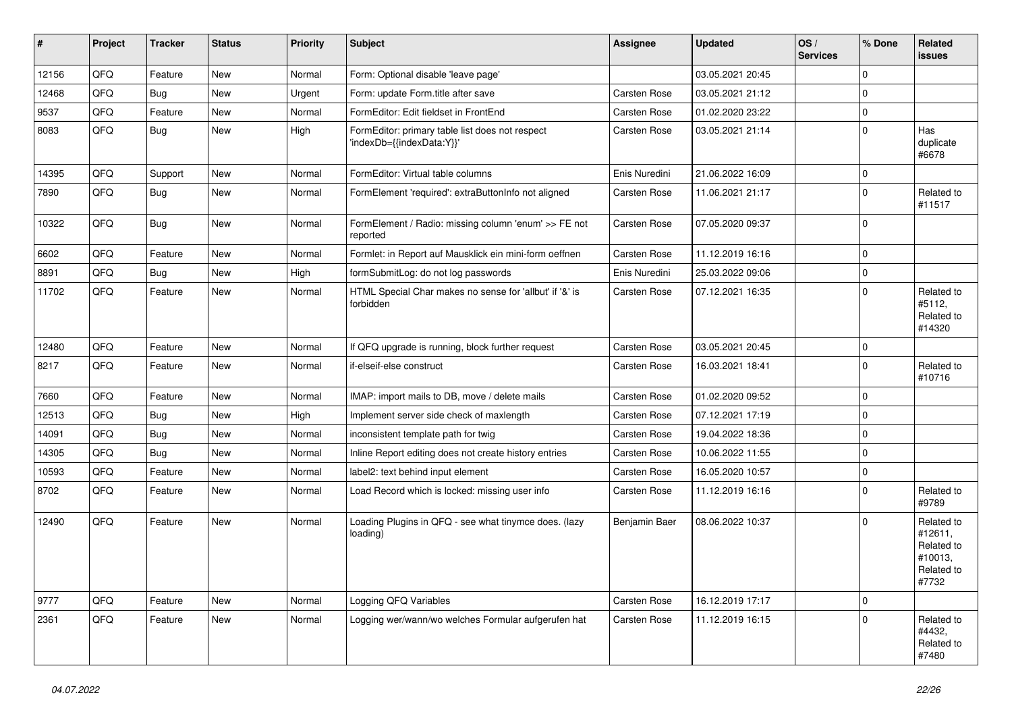| #     | Project | <b>Tracker</b> | <b>Status</b> | <b>Priority</b> | Subject                                                                      | <b>Assignee</b>     | <b>Updated</b>   | OS/<br><b>Services</b> | % Done      | Related<br>issues                                                     |
|-------|---------|----------------|---------------|-----------------|------------------------------------------------------------------------------|---------------------|------------------|------------------------|-------------|-----------------------------------------------------------------------|
| 12156 | QFQ     | Feature        | New           | Normal          | Form: Optional disable 'leave page'                                          |                     | 03.05.2021 20:45 |                        | $\Omega$    |                                                                       |
| 12468 | QFQ     | Bug            | New           | Urgent          | Form: update Form.title after save                                           | Carsten Rose        | 03.05.2021 21:12 |                        | $\mathbf 0$ |                                                                       |
| 9537  | QFQ     | Feature        | New           | Normal          | FormEditor: Edit fieldset in FrontEnd                                        | Carsten Rose        | 01.02.2020 23:22 |                        | $\mathbf 0$ |                                                                       |
| 8083  | QFQ     | Bug            | New           | High            | FormEditor: primary table list does not respect<br>'indexDb={{indexData:Y}}' | Carsten Rose        | 03.05.2021 21:14 |                        | $\Omega$    | Has<br>duplicate<br>#6678                                             |
| 14395 | QFQ     | Support        | New           | Normal          | FormEditor: Virtual table columns                                            | Enis Nuredini       | 21.06.2022 16:09 |                        | $\mathbf 0$ |                                                                       |
| 7890  | QFQ     | Bug            | New           | Normal          | FormElement 'required': extraButtonInfo not aligned                          | <b>Carsten Rose</b> | 11.06.2021 21:17 |                        | $\Omega$    | Related to<br>#11517                                                  |
| 10322 | QFQ     | Bug            | New           | Normal          | FormElement / Radio: missing column 'enum' >> FE not<br>reported             | Carsten Rose        | 07.05.2020 09:37 |                        | $\Omega$    |                                                                       |
| 6602  | QFQ     | Feature        | New           | Normal          | Formlet: in Report auf Mausklick ein mini-form oeffnen                       | Carsten Rose        | 11.12.2019 16:16 |                        | $\mathbf 0$ |                                                                       |
| 8891  | QFQ     | Bug            | New           | High            | formSubmitLog: do not log passwords                                          | Enis Nuredini       | 25.03.2022 09:06 |                        | $\mathbf 0$ |                                                                       |
| 11702 | QFQ     | Feature        | New           | Normal          | HTML Special Char makes no sense for 'allbut' if '&' is<br>forbidden         | Carsten Rose        | 07.12.2021 16:35 |                        | $\Omega$    | Related to<br>#5112,<br>Related to<br>#14320                          |
| 12480 | QFQ     | Feature        | New           | Normal          | If QFQ upgrade is running, block further request                             | Carsten Rose        | 03.05.2021 20:45 |                        | $\mathbf 0$ |                                                                       |
| 8217  | QFQ     | Feature        | New           | Normal          | if-elseif-else construct                                                     | Carsten Rose        | 16.03.2021 18:41 |                        | $\Omega$    | Related to<br>#10716                                                  |
| 7660  | QFQ     | Feature        | New           | Normal          | IMAP: import mails to DB, move / delete mails                                | Carsten Rose        | 01.02.2020 09:52 |                        | $\mathbf 0$ |                                                                       |
| 12513 | QFQ     | <b>Bug</b>     | New           | High            | Implement server side check of maxlength                                     | Carsten Rose        | 07.12.2021 17:19 |                        | $\Omega$    |                                                                       |
| 14091 | QFQ     | Bug            | New           | Normal          | inconsistent template path for twig                                          | Carsten Rose        | 19.04.2022 18:36 |                        | $\Omega$    |                                                                       |
| 14305 | QFQ     | Bug            | New           | Normal          | Inline Report editing does not create history entries                        | Carsten Rose        | 10.06.2022 11:55 |                        | $\Omega$    |                                                                       |
| 10593 | QFQ     | Feature        | New           | Normal          | label2: text behind input element                                            | Carsten Rose        | 16.05.2020 10:57 |                        | $\mathbf 0$ |                                                                       |
| 8702  | QFQ     | Feature        | New           | Normal          | Load Record which is locked: missing user info                               | Carsten Rose        | 11.12.2019 16:16 |                        | $\Omega$    | Related to<br>#9789                                                   |
| 12490 | QFQ     | Feature        | New           | Normal          | Loading Plugins in QFQ - see what tinymce does. (lazy<br>loading)            | Benjamin Baer       | 08.06.2022 10:37 |                        | $\Omega$    | Related to<br>#12611,<br>Related to<br>#10013,<br>Related to<br>#7732 |
| 9777  | QFQ     | Feature        | New           | Normal          | Logging QFQ Variables                                                        | Carsten Rose        | 16.12.2019 17:17 |                        | $\mathbf 0$ |                                                                       |
| 2361  | QFQ     | Feature        | New           | Normal          | Logging wer/wann/wo welches Formular aufgerufen hat                          | Carsten Rose        | 11.12.2019 16:15 |                        | $\mathbf 0$ | Related to<br>#4432,<br>Related to<br>#7480                           |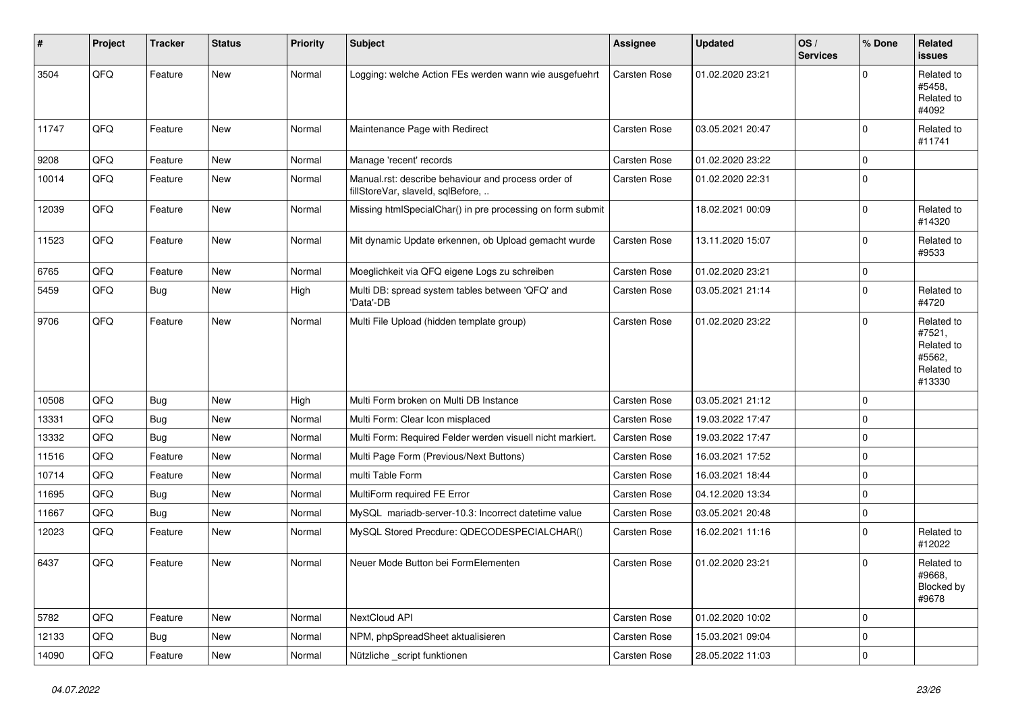| #     | Project | <b>Tracker</b> | <b>Status</b> | <b>Priority</b> | <b>Subject</b>                                                                           | Assignee     | <b>Updated</b>   | OS/<br><b>Services</b> | % Done              | <b>Related</b><br><b>issues</b>                                      |
|-------|---------|----------------|---------------|-----------------|------------------------------------------------------------------------------------------|--------------|------------------|------------------------|---------------------|----------------------------------------------------------------------|
| 3504  | QFQ     | Feature        | <b>New</b>    | Normal          | Logging: welche Action FEs werden wann wie ausgefuehrt                                   | Carsten Rose | 01.02.2020 23:21 |                        | $\Omega$            | Related to<br>#5458.<br>Related to<br>#4092                          |
| 11747 | QFQ     | Feature        | <b>New</b>    | Normal          | Maintenance Page with Redirect                                                           | Carsten Rose | 03.05.2021 20:47 |                        | $\mathbf 0$         | Related to<br>#11741                                                 |
| 9208  | QFQ     | Feature        | <b>New</b>    | Normal          | Manage 'recent' records                                                                  | Carsten Rose | 01.02.2020 23:22 |                        | $\mathbf 0$         |                                                                      |
| 10014 | QFQ     | Feature        | New           | Normal          | Manual.rst: describe behaviour and process order of<br>fillStoreVar, slaveId, sqlBefore, | Carsten Rose | 01.02.2020 22:31 |                        | $\mathbf 0$         |                                                                      |
| 12039 | QFQ     | Feature        | <b>New</b>    | Normal          | Missing htmlSpecialChar() in pre processing on form submit                               |              | 18.02.2021 00:09 |                        | $\mathbf 0$         | Related to<br>#14320                                                 |
| 11523 | QFQ     | Feature        | New           | Normal          | Mit dynamic Update erkennen, ob Upload gemacht wurde                                     | Carsten Rose | 13.11.2020 15:07 |                        | $\mathbf 0$         | Related to<br>#9533                                                  |
| 6765  | QFQ     | Feature        | <b>New</b>    | Normal          | Moeglichkeit via QFQ eigene Logs zu schreiben                                            | Carsten Rose | 01.02.2020 23:21 |                        | $\mathbf 0$         |                                                                      |
| 5459  | QFQ     | Bug            | <b>New</b>    | High            | Multi DB: spread system tables between 'QFQ' and<br>'Data'-DB                            | Carsten Rose | 03.05.2021 21:14 |                        | $\mathbf 0$         | Related to<br>#4720                                                  |
| 9706  | QFQ     | Feature        | <b>New</b>    | Normal          | Multi File Upload (hidden template group)                                                | Carsten Rose | 01.02.2020 23:22 |                        | $\mathbf 0$         | Related to<br>#7521,<br>Related to<br>#5562,<br>Related to<br>#13330 |
| 10508 | QFQ     | <b>Bug</b>     | New           | High            | Multi Form broken on Multi DB Instance                                                   | Carsten Rose | 03.05.2021 21:12 |                        | $\mathbf 0$         |                                                                      |
| 13331 | QFQ     | Bug            | <b>New</b>    | Normal          | Multi Form: Clear Icon misplaced                                                         | Carsten Rose | 19.03.2022 17:47 |                        | $\mathbf 0$         |                                                                      |
| 13332 | QFQ     | <b>Bug</b>     | <b>New</b>    | Normal          | Multi Form: Required Felder werden visuell nicht markiert.                               | Carsten Rose | 19.03.2022 17:47 |                        | $\mathbf 0$         |                                                                      |
| 11516 | QFQ     | Feature        | <b>New</b>    | Normal          | Multi Page Form (Previous/Next Buttons)                                                  | Carsten Rose | 16.03.2021 17:52 |                        | $\mathsf{O}\xspace$ |                                                                      |
| 10714 | QFQ     | Feature        | New           | Normal          | multi Table Form                                                                         | Carsten Rose | 16.03.2021 18:44 |                        | $\mathbf 0$         |                                                                      |
| 11695 | QFQ     | Bug            | <b>New</b>    | Normal          | MultiForm required FE Error                                                              | Carsten Rose | 04.12.2020 13:34 |                        | $\mathbf 0$         |                                                                      |
| 11667 | QFQ     | Bug            | <b>New</b>    | Normal          | MySQL mariadb-server-10.3: Incorrect datetime value                                      | Carsten Rose | 03.05.2021 20:48 |                        | $\mathsf 0$         |                                                                      |
| 12023 | QFQ     | Feature        | New           | Normal          | MySQL Stored Precdure: QDECODESPECIALCHAR()                                              | Carsten Rose | 16.02.2021 11:16 |                        | $\mathbf 0$         | Related to<br>#12022                                                 |
| 6437  | QFQ     | Feature        | <b>New</b>    | Normal          | Neuer Mode Button bei FormElementen                                                      | Carsten Rose | 01.02.2020 23:21 |                        | $\mathbf 0$         | Related to<br>#9668,<br>Blocked by<br>#9678                          |
| 5782  | QFQ     | Feature        | New           | Normal          | NextCloud API                                                                            | Carsten Rose | 01.02.2020 10:02 |                        | $\mathbf 0$         |                                                                      |
| 12133 | QFQ     | Bug            | New           | Normal          | NPM, phpSpreadSheet aktualisieren                                                        | Carsten Rose | 15.03.2021 09:04 |                        | $\mathsf 0$         |                                                                      |
| 14090 | QFQ     | Feature        | New           | Normal          | Nützliche _script funktionen                                                             | Carsten Rose | 28.05.2022 11:03 |                        | $\pmb{0}$           |                                                                      |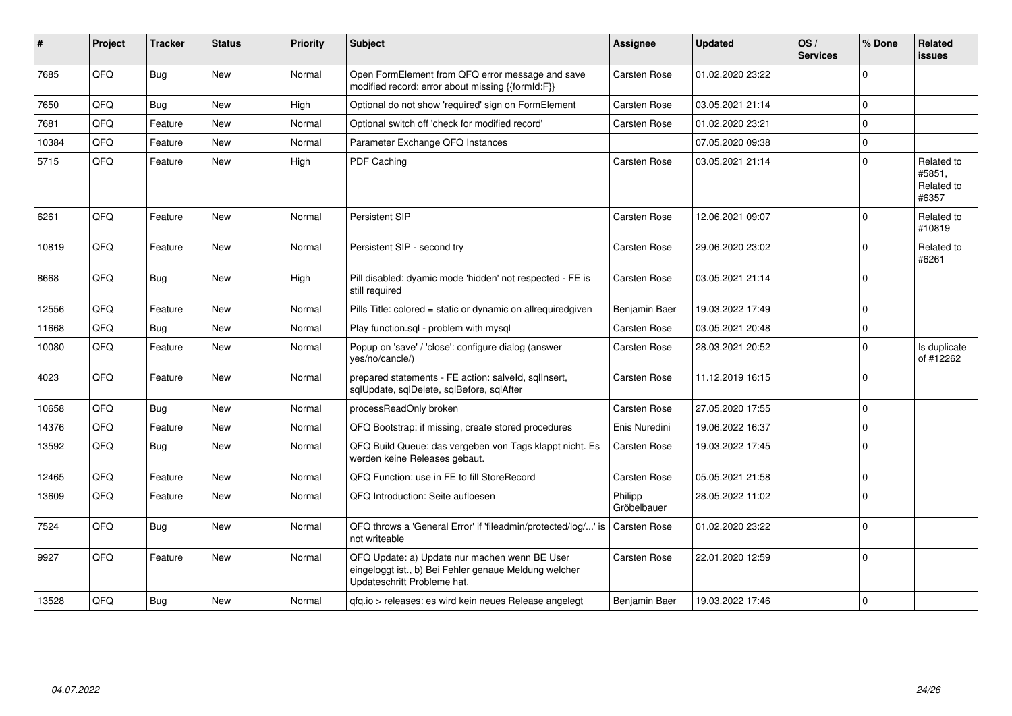| #     | Project | <b>Tracker</b> | <b>Status</b> | <b>Priority</b> | Subject                                                                                                                               | Assignee               | <b>Updated</b>   | OS/<br><b>Services</b> | % Done      | Related<br><b>issues</b>                    |
|-------|---------|----------------|---------------|-----------------|---------------------------------------------------------------------------------------------------------------------------------------|------------------------|------------------|------------------------|-------------|---------------------------------------------|
| 7685  | QFQ     | Bug            | <b>New</b>    | Normal          | Open FormElement from QFQ error message and save<br>modified record: error about missing {{formId:F}}                                 | Carsten Rose           | 01.02.2020 23:22 |                        | $\Omega$    |                                             |
| 7650  | QFQ     | Bug            | New           | High            | Optional do not show 'required' sign on FormElement                                                                                   | Carsten Rose           | 03.05.2021 21:14 |                        | $\Omega$    |                                             |
| 7681  | QFQ     | Feature        | New           | Normal          | Optional switch off 'check for modified record'                                                                                       | <b>Carsten Rose</b>    | 01.02.2020 23:21 |                        | $\Omega$    |                                             |
| 10384 | QFQ     | Feature        | <b>New</b>    | Normal          | Parameter Exchange QFQ Instances                                                                                                      |                        | 07.05.2020 09:38 |                        | $\Omega$    |                                             |
| 5715  | QFQ     | Feature        | New           | High            | <b>PDF Caching</b>                                                                                                                    | <b>Carsten Rose</b>    | 03.05.2021 21:14 |                        | $\Omega$    | Related to<br>#5851,<br>Related to<br>#6357 |
| 6261  | QFQ     | Feature        | <b>New</b>    | Normal          | Persistent SIP                                                                                                                        | <b>Carsten Rose</b>    | 12.06.2021 09:07 |                        | $\Omega$    | Related to<br>#10819                        |
| 10819 | QFQ     | Feature        | <b>New</b>    | Normal          | Persistent SIP - second try                                                                                                           | <b>Carsten Rose</b>    | 29.06.2020 23:02 |                        | $\Omega$    | Related to<br>#6261                         |
| 8668  | QFQ     | Bug            | <b>New</b>    | High            | Pill disabled: dyamic mode 'hidden' not respected - FE is<br>still required                                                           | <b>Carsten Rose</b>    | 03.05.2021 21:14 |                        | $\Omega$    |                                             |
| 12556 | QFQ     | Feature        | <b>New</b>    | Normal          | Pills Title: colored = static or dynamic on allrequiredgiven                                                                          | Benjamin Baer          | 19.03.2022 17:49 |                        | $\Omega$    |                                             |
| 11668 | QFQ     | Bug            | <b>New</b>    | Normal          | Play function.sgl - problem with mysgl                                                                                                | <b>Carsten Rose</b>    | 03.05.2021 20:48 |                        | $\Omega$    |                                             |
| 10080 | QFQ     | Feature        | New           | Normal          | Popup on 'save' / 'close': configure dialog (answer<br>yes/no/cancle/)                                                                | Carsten Rose           | 28.03.2021 20:52 |                        | $\Omega$    | Is duplicate<br>of #12262                   |
| 4023  | QFQ     | Feature        | <b>New</b>    | Normal          | prepared statements - FE action: salveld, sqllnsert,<br>sqlUpdate, sqlDelete, sqlBefore, sqlAfter                                     | <b>Carsten Rose</b>    | 11.12.2019 16:15 |                        | $\Omega$    |                                             |
| 10658 | QFQ     | Bug            | New           | Normal          | processReadOnly broken                                                                                                                | <b>Carsten Rose</b>    | 27.05.2020 17:55 |                        | $\mathbf 0$ |                                             |
| 14376 | QFQ     | Feature        | New           | Normal          | QFQ Bootstrap: if missing, create stored procedures                                                                                   | Enis Nuredini          | 19.06.2022 16:37 |                        | $\Omega$    |                                             |
| 13592 | QFQ     | Bug            | <b>New</b>    | Normal          | QFQ Build Queue: das vergeben von Tags klappt nicht. Es<br>werden keine Releases gebaut.                                              | <b>Carsten Rose</b>    | 19.03.2022 17:45 |                        | $\Omega$    |                                             |
| 12465 | QFQ     | Feature        | <b>New</b>    | Normal          | QFQ Function: use in FE to fill StoreRecord                                                                                           | <b>Carsten Rose</b>    | 05.05.2021 21:58 |                        | $\mathbf 0$ |                                             |
| 13609 | QFQ     | Feature        | <b>New</b>    | Normal          | QFQ Introduction: Seite aufloesen                                                                                                     | Philipp<br>Gröbelbauer | 28.05.2022 11:02 |                        | $\Omega$    |                                             |
| 7524  | QFQ     | Bug            | <b>New</b>    | Normal          | QFQ throws a 'General Error' if 'fileadmin/protected/log/' is<br>not writeable                                                        | <b>Carsten Rose</b>    | 01.02.2020 23:22 |                        | $\Omega$    |                                             |
| 9927  | QFQ     | Feature        | <b>New</b>    | Normal          | QFQ Update: a) Update nur machen wenn BE User<br>eingeloggt ist., b) Bei Fehler genaue Meldung welcher<br>Updateschritt Probleme hat. | <b>Carsten Rose</b>    | 22.01.2020 12:59 |                        | $\Omega$    |                                             |
| 13528 | QFQ     | <b>Bug</b>     | <b>New</b>    | Normal          | gfg.io > releases: es wird kein neues Release angelegt                                                                                | Benjamin Baer          | 19.03.2022 17:46 |                        | $\Omega$    |                                             |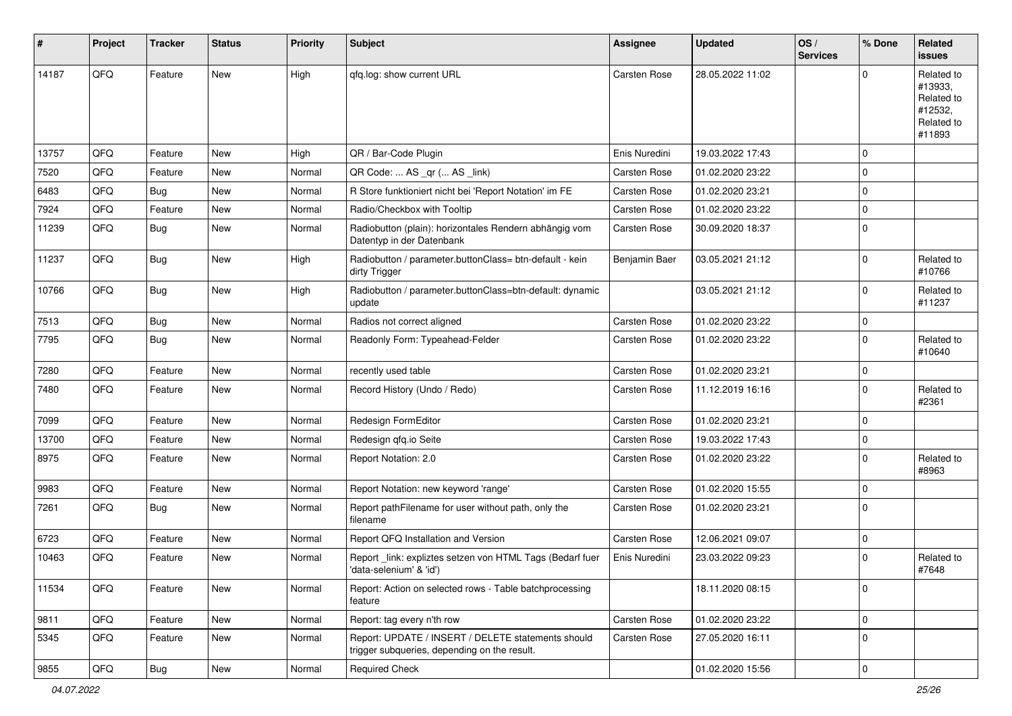| #     | Project | <b>Tracker</b> | <b>Status</b> | <b>Priority</b> | Subject                                                                                            | Assignee            | <b>Updated</b>   | OS/<br><b>Services</b> | % Done         | Related<br><b>issues</b>                                               |
|-------|---------|----------------|---------------|-----------------|----------------------------------------------------------------------------------------------------|---------------------|------------------|------------------------|----------------|------------------------------------------------------------------------|
| 14187 | QFQ     | Feature        | New           | High            | qfq.log: show current URL                                                                          | Carsten Rose        | 28.05.2022 11:02 |                        | $\Omega$       | Related to<br>#13933,<br>Related to<br>#12532,<br>Related to<br>#11893 |
| 13757 | QFQ     | Feature        | New           | High            | QR / Bar-Code Plugin                                                                               | Enis Nuredini       | 19.03.2022 17:43 |                        | $\Omega$       |                                                                        |
| 7520  | QFQ     | Feature        | New           | Normal          | QR Code:  AS _qr ( AS _link)                                                                       | <b>Carsten Rose</b> | 01.02.2020 23:22 |                        | $\mathbf 0$    |                                                                        |
| 6483  | QFQ     | Bug            | New           | Normal          | R Store funktioniert nicht bei 'Report Notation' im FE                                             | Carsten Rose        | 01.02.2020 23:21 |                        | $\mathbf 0$    |                                                                        |
| 7924  | QFQ     | Feature        | New           | Normal          | Radio/Checkbox with Tooltip                                                                        | Carsten Rose        | 01.02.2020 23:22 |                        | 0              |                                                                        |
| 11239 | QFQ     | Bug            | New           | Normal          | Radiobutton (plain): horizontales Rendern abhängig vom<br>Datentyp in der Datenbank                | Carsten Rose        | 30.09.2020 18:37 |                        | $\overline{0}$ |                                                                        |
| 11237 | QFQ     | Bug            | New           | High            | Radiobutton / parameter.buttonClass= btn-default - kein<br>dirty Trigger                           | Benjamin Baer       | 03.05.2021 21:12 |                        | $\mathbf 0$    | Related to<br>#10766                                                   |
| 10766 | QFQ     | Bug            | New           | High            | Radiobutton / parameter.buttonClass=btn-default: dynamic<br>update                                 |                     | 03.05.2021 21:12 |                        | $\mathbf 0$    | Related to<br>#11237                                                   |
| 7513  | QFQ     | Bug            | New           | Normal          | Radios not correct aligned                                                                         | Carsten Rose        | 01.02.2020 23:22 |                        | $\mathbf 0$    |                                                                        |
| 7795  | QFQ     | Bug            | New           | Normal          | Readonly Form: Typeahead-Felder                                                                    | Carsten Rose        | 01.02.2020 23:22 |                        | $\Omega$       | Related to<br>#10640                                                   |
| 7280  | QFQ     | Feature        | New           | Normal          | recently used table                                                                                | <b>Carsten Rose</b> | 01.02.2020 23:21 |                        | $\mathbf 0$    |                                                                        |
| 7480  | QFQ     | Feature        | New           | Normal          | Record History (Undo / Redo)                                                                       | Carsten Rose        | 11.12.2019 16:16 |                        | $\Omega$       | Related to<br>#2361                                                    |
| 7099  | QFQ     | Feature        | <b>New</b>    | Normal          | Redesign FormEditor                                                                                | Carsten Rose        | 01.02.2020 23:21 |                        | $\mathbf 0$    |                                                                        |
| 13700 | QFQ     | Feature        | New           | Normal          | Redesign gfg.io Seite                                                                              | Carsten Rose        | 19.03.2022 17:43 |                        | $\mathbf 0$    |                                                                        |
| 8975  | QFQ     | Feature        | New           | Normal          | Report Notation: 2.0                                                                               | Carsten Rose        | 01.02.2020 23:22 |                        | $\Omega$       | Related to<br>#8963                                                    |
| 9983  | QFQ     | Feature        | New           | Normal          | Report Notation: new keyword 'range'                                                               | <b>Carsten Rose</b> | 01.02.2020 15:55 |                        | $\Omega$       |                                                                        |
| 7261  | QFQ     | Bug            | New           | Normal          | Report pathFilename for user without path, only the<br>filename                                    | Carsten Rose        | 01.02.2020 23:21 |                        | $\mathbf 0$    |                                                                        |
| 6723  | QFQ     | Feature        | New           | Normal          | Report QFQ Installation and Version                                                                | Carsten Rose        | 12.06.2021 09:07 |                        | $\Omega$       |                                                                        |
| 10463 | QFQ     | Feature        | <b>New</b>    | Normal          | Report _link: expliztes setzen von HTML Tags (Bedarf fuer<br>'data-selenium' & 'id')               | Enis Nuredini       | 23.03.2022 09:23 |                        | $\Omega$       | Related to<br>#7648                                                    |
| 11534 | QFQ     | Feature        | New           | Normal          | Report: Action on selected rows - Table batchprocessing<br>feature                                 |                     | 18.11.2020 08:15 |                        | $\Omega$       |                                                                        |
| 9811  | QFQ     | Feature        | New           | Normal          | Report: tag every n'th row                                                                         | Carsten Rose        | 01.02.2020 23:22 |                        | $\mathbf 0$    |                                                                        |
| 5345  | QFQ     | Feature        | New           | Normal          | Report: UPDATE / INSERT / DELETE statements should<br>trigger subqueries, depending on the result. | Carsten Rose        | 27.05.2020 16:11 |                        | $\mathbf 0$    |                                                                        |
| 9855  | QFQ     | Bug            | New           | Normal          | Required Check                                                                                     |                     | 01.02.2020 15:56 |                        | $\mathbf 0$    |                                                                        |